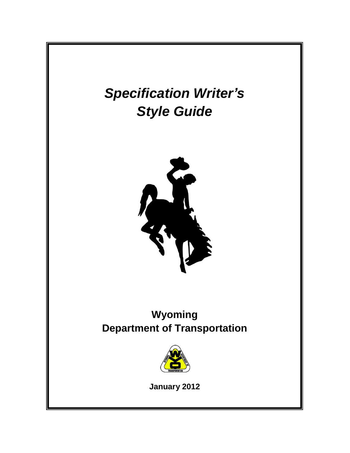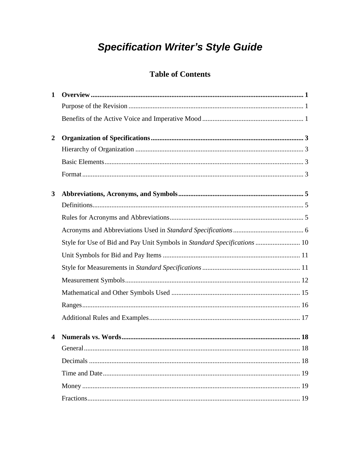# **Specification Writer's Style Guide**

# **Table of Contents**

| 1                |                                                                          |
|------------------|--------------------------------------------------------------------------|
|                  |                                                                          |
|                  |                                                                          |
| $\boldsymbol{2}$ |                                                                          |
|                  |                                                                          |
|                  |                                                                          |
|                  |                                                                          |
| $\mathbf{3}$     |                                                                          |
|                  |                                                                          |
|                  |                                                                          |
|                  |                                                                          |
|                  | Style for Use of Bid and Pay Unit Symbols in Standard Specifications  10 |
|                  |                                                                          |
|                  |                                                                          |
|                  |                                                                          |
|                  |                                                                          |
|                  |                                                                          |
|                  |                                                                          |
|                  |                                                                          |
|                  |                                                                          |
|                  |                                                                          |
|                  |                                                                          |
|                  |                                                                          |
|                  |                                                                          |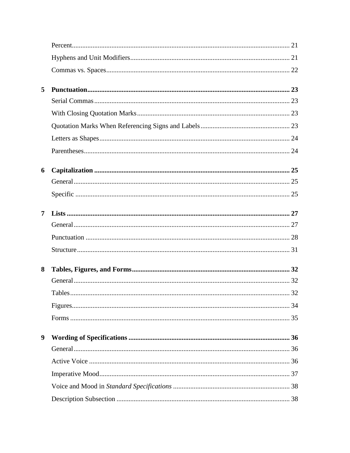| 5              |  |
|----------------|--|
|                |  |
|                |  |
|                |  |
|                |  |
|                |  |
| 6              |  |
|                |  |
|                |  |
| $\overline{7}$ |  |
|                |  |
|                |  |
|                |  |
| 8              |  |
|                |  |
|                |  |
|                |  |
|                |  |
| 9              |  |
|                |  |
|                |  |
|                |  |
|                |  |
|                |  |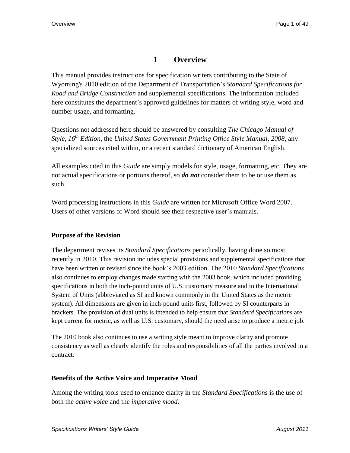# **1 Overview**

This manual provides instructions for specification writers contributing to the State of Wyoming's 2010 edition of the Department of Transportation's *Standard Specifications for Road and Bridge Construction* and supplemental specifications. The information included here constitutes the department's approved guidelines for matters of writing style, word and number usage, and formatting.

Questions not addressed here should be answered by consulting *The Chicago Manual of Style, 16 th Edition*, the *United States Government Printing Office Style Manual, 2008*, any specialized sources cited within, or a recent standard dictionary of American English.

All examples cited in this *Guide* are simply models for style, usage, formatting, etc. They are not actual specifications or portions thereof, so *do not* consider them to be or use them as such.

Word processing instructions in this *Guide* are written for Microsoft Office Word 2007. Users of other versions of Word should see their respective user's manuals.

#### **Purpose of the Revision**

The department revises its *Standard Specifications* periodically, having done so most recently in 2010. This revision includes special provisions and supplemental specifications that have been written or revised since the book's 2003 edition. The 2010 *Standard Specifications* also continues to employ changes made starting with the 2003 book, which included providing specifications in both the inch-pound units of U.S. customary measure and in the International System of Units (abbreviated as SI and known commonly in the United States as the metric system). All dimensions are given in inch-pound units first, followed by SI counterparts in brackets. The provision of dual units is intended to help ensure that *Standard Specifications* are kept current for metric, as well as U.S. customary, should the need arise to produce a metric job.

The 2010 book also continues to use a writing style meant to improve clarity and promote consistency as well as clearly identify the roles and responsibilities of all the parties involved in a contract.

#### **Benefits of the Active Voice and Imperative Mood**

Among the writing tools used to enhance clarity in the *Standard Specifications* is the use of both the *active voice* and the *imperative mood.*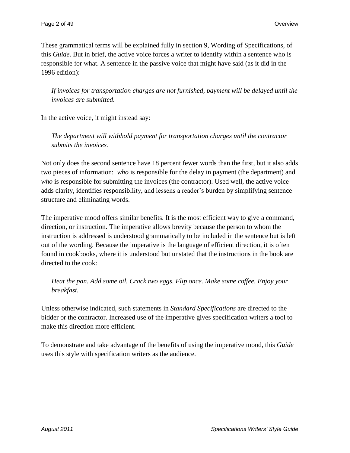These grammatical terms will be explained fully in section 9, Wording of Specifications, of this *Guide*. But in brief, the active voice forces a writer to identify within a sentence who is responsible for what. A sentence in the passive voice that might have said (as it did in the 1996 edition):

If invoices for transportation charges are not furnished, payment will be delayed until the *invoices are submitted.*

In the active voice, it might instead say:

*The department will withhold payment for transportation charges until the contractor submits the invoices.*

Not only does the second sentence have 18 percent fewer words than the first, but it also adds two pieces of information: *who* is responsible for the delay in payment (the department) and *who* is responsible for submitting the invoices (the contractor). Used well, the active voice adds clarity, identifies responsibility, and lessens a reader's burden by simplifying sentence structure and eliminating words.

The imperative mood offers similar benefits. It is the most efficient way to give a command, direction, or instruction. The imperative allows brevity because the person to whom the instruction is addressed is understood grammatically to be included in the sentence but is left out of the wording. Because the imperative is the language of efficient direction, it is often found in cookbooks, where it is understood but unstated that the instructions in the book are directed to the cook:

*Heat the pan. Add some oil. Crack two eggs. Flip once. Make some coffee. Enjoy your breakfast.*

Unless otherwise indicated, such statements in *Standard Specifications* are directed to the bidder or the contractor. Increased use of the imperative gives specification writers a tool to make this direction more efficient.

To demonstrate and take advantage of the benefits of using the imperative mood, this *Guide* uses this style with specification writers as the audience.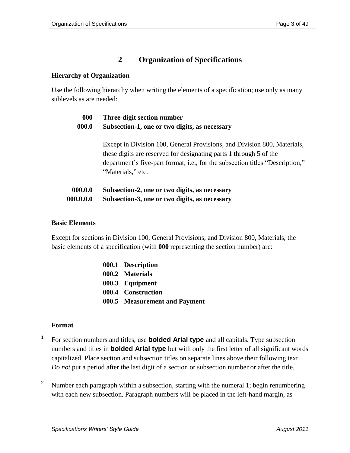# **2 Organization of Specifications**

#### **Hierarchy of Organization**

Use the following hierarchy when writing the elements of a specification; use only as many sublevels as are needed:

| 000 | Three-digit section number |
|-----|----------------------------|
|-----|----------------------------|

**000.0 Subsection-1, one or two digits, as necessary**

Except in Division 100, General Provisions, and Division 800, Materials, these digits are reserved for designating parts 1 through 5 of the department's five-part format; i.e., for the subsection titles "Description," "Materials," etc.

| 000.0.0   | Subsection-2, one or two digits, as necessary |
|-----------|-----------------------------------------------|
| 000.0.0.0 | Subsection-3, one or two digits, as necessary |

#### **Basic Elements**

Except for sections in Division 100, General Provisions, and Division 800, Materials, the basic elements of a specification (with **000** representing the section number) are:

| 000.1 Description             |
|-------------------------------|
| 000.2 Materials               |
| 000.3 Equipment               |
| 000.4 Construction            |
| 000.5 Measurement and Payment |
|                               |

#### **Format**

- 1 For section numbers and titles, use **bolded Arial type** and all capitals. Type subsection numbers and titles in **bolded Arial type** but with only the first letter of all significant words capitalized. Place section and subsection titles on separate lines above their following text. *Do not* put a period after the last digit of a section or subsection number or after the title.
- <sup>2</sup> Number each paragraph within a subsection, starting with the numeral 1; begin renumbering with each new subsection. Paragraph numbers will be placed in the left-hand margin, as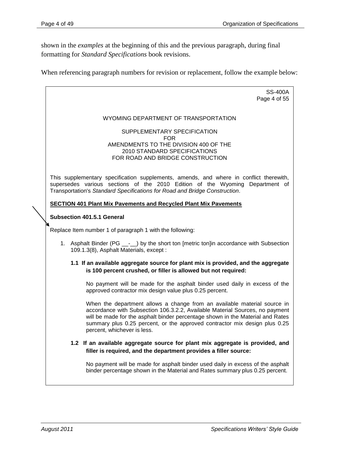shown in the *examples* at the beginning of this and the previous paragraph, during final formatting for *Standard Specifications* book revisions.

When referencing paragraph numbers for revision or replacement, follow the example below:

| <b>SS-400A</b><br>Page 4 of 55                                                                                                                                                                                                                                                                                                                          |
|---------------------------------------------------------------------------------------------------------------------------------------------------------------------------------------------------------------------------------------------------------------------------------------------------------------------------------------------------------|
| WYOMING DEPARTMENT OF TRANSPORTATION                                                                                                                                                                                                                                                                                                                    |
| SUPPLEMENTARY SPECIFICATION<br>FOR.                                                                                                                                                                                                                                                                                                                     |
| AMENDMENTS TO THE DIVISION 400 OF THE<br>2010 STANDARD SPECIFICATIONS<br>FOR ROAD AND BRIDGE CONSTRUCTION                                                                                                                                                                                                                                               |
| This supplementary specification supplements, amends, and where in conflict therewith,<br>supersedes various sections of the 2010 Edition of the Wyoming Department of<br>Transportation's Standard Specifications for Road and Bridge Construction.                                                                                                    |
| <b>SECTION 401 Plant Mix Pavements and Recycled Plant Mix Pavements</b>                                                                                                                                                                                                                                                                                 |
| <b>Subsection 401.5.1 General</b>                                                                                                                                                                                                                                                                                                                       |
| Replace Item number 1 of paragraph 1 with the following:                                                                                                                                                                                                                                                                                                |
| 1. Asphalt Binder (PG <sub>__-</sub> -_) by the short ton [metric ton]in accordance with Subsection<br>109.1.3(8), Asphalt Materials, except :                                                                                                                                                                                                          |
| 1.1 If an available aggregate source for plant mix is provided, and the aggregate<br>is 100 percent crushed, or filler is allowed but not required:                                                                                                                                                                                                     |
| No payment will be made for the asphalt binder used daily in excess of the<br>approved contractor mix design value plus 0.25 percent.                                                                                                                                                                                                                   |
| When the department allows a change from an available material source in<br>accordance with Subsection 106.3.2.2, Available Material Sources, no payment<br>will be made for the asphalt binder percentage shown in the Material and Rates<br>summary plus 0.25 percent, or the approved contractor mix design plus 0.25<br>percent, whichever is less. |
| 1.2 If an available aggregate source for plant mix aggregate is provided, and<br>filler is required, and the department provides a filler source:                                                                                                                                                                                                       |
| No payment will be made for asphalt binder used daily in excess of the asphalt<br>binder percentage shown in the Material and Rates summary plus 0.25 percent.                                                                                                                                                                                          |
|                                                                                                                                                                                                                                                                                                                                                         |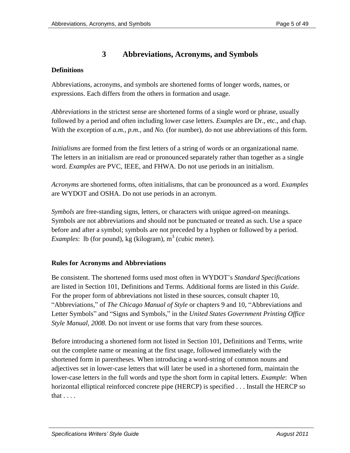# **3 Abbreviations, Acronyms, and Symbols**

# **Definitions**

Abbreviations, acronyms, and symbols are shortened forms of longer words, names, or expressions. Each differs from the others in formation and usage.

*Abbreviations* in the strictest sense are shortened forms of a single word or phrase, usually followed by a period and often including lower case letters. *Examples* are Dr., etc., and chap. With the exception of *a.m.*, *p.m.*, and *No.* (for number), do not use abbreviations of this form.

*Initialisms* are formed from the first letters of a string of words or an organizational name. The letters in an initialism are read or pronounced separately rather than together as a single word. *Examples* are PVC, IEEE, and FHWA. Do not use periods in an initialism.

*Acronyms* are shortened forms, often initialisms, that can be pronounced as a word. *Examples* are WYDOT and OSHA. Do not use periods in an acronym.

*Symbols* are free-standing signs, letters, or characters with unique agreed-on meanings. Symbols are not abbreviations and should not be punctuated or treated as such. Use a space before and after a symbol; symbols are not preceded by a hyphen or followed by a period. *Examples*: lb (for pound), kg (kilogram),  $m<sup>3</sup>$  (cubic meter).

#### **Rules for Acronyms and Abbreviations**

Be consistent. The shortened forms used most often in WYDOT's *Standard Specifications* are listed in Section 101, Definitions and Terms. Additional forms are listed in this *Guide*. For the proper form of abbreviations not listed in these sources, consult chapter 10, "Abbreviations," of *The Chicago Manual of Style* or chapters 9 and 10, "Abbreviations and Letter Symbols" and "Signs and Symbols," in the *United States Government Printing Office Style Manual, 2008*. Do not invent or use forms that vary from these sources.

Before introducing a shortened form not listed in Section 101, Definitions and Terms, write out the complete name or meaning at the first usage, followed immediately with the shortened form in parentheses. When introducing a word-string of common nouns and adjectives set in lower-case letters that will later be used in a shortened form, maintain the lower-case letters in the full words and type the short form in capital letters. *Example*: When horizontal elliptical reinforced concrete pipe (HERCP) is specified . . . Install the HERCP so that . . . .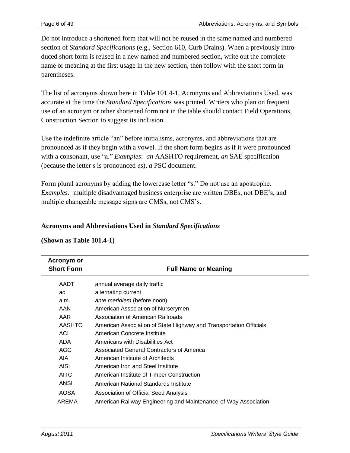Do not introduce a shortened form that will not be reused in the same named and numbered section of *Standard Specifications* (e.g., Section 610, Curb Drains). When a previously introduced short form is reused in a new named and numbered section, write out the complete name or meaning at the first usage in the new section, then follow with the short form in parentheses.

The list of acronyms shown here in Table 101.4-1, Acronyms and Abbreviations Used, was accurate at the time the *Standard Specifications* was printed. Writers who plan on frequent use of an acronym or other shortened form not in the table should contact Field Operations, Construction Section to suggest its inclusion.

Use the indefinite article "an" before initialisms, acronyms, and abbreviations that are pronounced as if they begin with a vowel. If the short form begins as if it were pronounced with a consonant, use "a." *Examples*: *an* AASHTO requirement, *an* SAE specification (because the letter *s* is pronounced *es*), *a* PSC document.

Form plural acronyms by adding the lowercase letter "s." Do not use an apostrophe. *Examples:* multiple disadvantaged business enterprise are written DBEs, not DBE's, and multiple changeable message signs are CMSs, not CMS's.

#### **Acronyms and Abbreviations Used in** *Standard Specifications*

| Acronym or<br><b>Short Form</b> | <b>Full Name or Meaning</b>                                        |
|---------------------------------|--------------------------------------------------------------------|
| <b>AADT</b>                     | annual average daily traffic                                       |
| ac                              | alternating current                                                |
| a.m.                            | ante meridiem (before noon)                                        |
| AAN                             | American Association of Nurserymen                                 |
| AAR                             | Association of American Railroads                                  |
| <b>AASHTO</b>                   | American Association of State Highway and Transportation Officials |
| <b>ACI</b>                      | American Concrete Institute                                        |
| ADA                             | Americans with Disabilities Act                                    |
| AGC                             | Associated General Contractors of America                          |
| AIA                             | American Institute of Architects                                   |
| <b>AISI</b>                     | American Iron and Steel Institute                                  |
| <b>AITC</b>                     | American Institute of Timber Construction                          |
| ANSI                            | American National Standards Institute                              |
| <b>AOSA</b>                     | Association of Official Seed Analysis                              |
| AREMA                           | American Railway Engineering and Maintenance-of-Way Association    |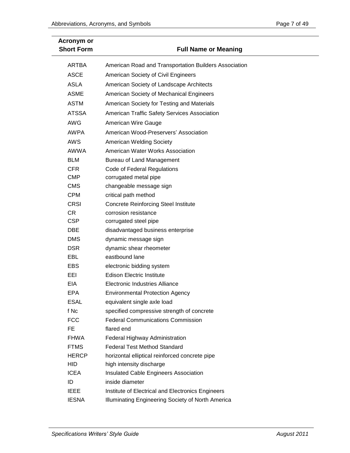| Page 7 of 49 |  |  |
|--------------|--|--|
|              |  |  |

| <b>Acronym or</b><br><b>Short Form</b> | <b>Full Name or Meaning</b>                                                |
|----------------------------------------|----------------------------------------------------------------------------|
| ARTBA                                  | American Road and Transportation Builders Association                      |
| <b>ASCE</b>                            | American Society of Civil Engineers                                        |
| <b>ASLA</b>                            | American Society of Landscape Architects                                   |
| <b>ASME</b>                            | American Society of Mechanical Engineers                                   |
| <b>ASTM</b>                            | American Society for Testing and Materials                                 |
| <b>ATSSA</b>                           | American Traffic Safety Services Association                               |
| <b>AWG</b>                             | American Wire Gauge                                                        |
| <b>AWPA</b>                            | American Wood-Preservers' Association                                      |
| <b>AWS</b>                             | <b>American Welding Society</b>                                            |
| AWWA                                   | American Water Works Association                                           |
| <b>BLM</b>                             | Bureau of Land Management                                                  |
| <b>CFR</b>                             | Code of Federal Regulations                                                |
| <b>CMP</b>                             | corrugated metal pipe                                                      |
| <b>CMS</b>                             | changeable message sign                                                    |
| <b>CPM</b>                             | critical path method                                                       |
| <b>CRSI</b>                            | <b>Concrete Reinforcing Steel Institute</b>                                |
| <b>CR</b>                              | corrosion resistance                                                       |
| <b>CSP</b>                             | corrugated steel pipe                                                      |
| <b>DBE</b>                             | disadvantaged business enterprise                                          |
| <b>DMS</b>                             | dynamic message sign                                                       |
| <b>DSR</b>                             | dynamic shear rheometer                                                    |
| EBL                                    | eastbound lane                                                             |
| <b>EBS</b>                             | electronic bidding system                                                  |
| EEI                                    | <b>Edison Electric Institute</b>                                           |
| <b>EIA</b>                             | <b>Electronic Industries Alliance</b>                                      |
| <b>EPA</b>                             | <b>Environmental Protection Agency</b>                                     |
| <b>ESAL</b>                            | equivalent single axle load                                                |
| f Nc                                   | specified compressive strength of concrete                                 |
| <b>FCC</b>                             | <b>Federal Communications Commission</b>                                   |
| FE                                     | flared end                                                                 |
| <b>FHWA</b>                            | Federal Highway Administration                                             |
| <b>FTMS</b>                            | <b>Federal Test Method Standard</b>                                        |
| <b>HERCP</b>                           | horizontal elliptical reinforced concrete pipe<br>high intensity discharge |
| <b>HID</b><br><b>ICEA</b>              | Insulated Cable Engineers Association                                      |
| ID                                     | inside diameter                                                            |
| <b>IEEE</b>                            | Institute of Electrical and Electronics Engineers                          |
| <b>IESNA</b>                           | Illuminating Engineering Society of North America                          |
|                                        |                                                                            |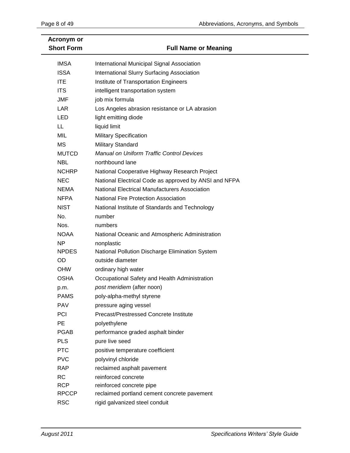| Acronym or<br><b>Short Form</b> | <b>Full Name or Meaning</b>                           |
|---------------------------------|-------------------------------------------------------|
| <b>IMSA</b>                     | International Municipal Signal Association            |
| <b>ISSA</b>                     | International Slurry Surfacing Association            |
| <b>ITE</b>                      | Institute of Transportation Engineers                 |
| <b>ITS</b>                      | intelligent transportation system                     |
| <b>JMF</b>                      | job mix formula                                       |
| <b>LAR</b>                      | Los Angeles abrasion resistance or LA abrasion        |
| <b>LED</b>                      | light emitting diode                                  |
| LL                              | liquid limit                                          |
| MIL                             | <b>Military Specification</b>                         |
| MS                              | <b>Military Standard</b>                              |
| <b>MUTCD</b>                    | Manual on Uniform Traffic Control Devices             |
| <b>NBL</b>                      | northbound lane                                       |
| <b>NCHRP</b>                    | National Cooperative Highway Research Project         |
| <b>NEC</b>                      | National Electrical Code as approved by ANSI and NFPA |
| <b>NEMA</b>                     | <b>National Electrical Manufacturers Association</b>  |
| <b>NFPA</b>                     | <b>National Fire Protection Association</b>           |
| <b>NIST</b>                     | National Institute of Standards and Technology        |
| No.                             | number                                                |
| Nos.                            | numbers                                               |
| <b>NOAA</b>                     | National Oceanic and Atmospheric Administration       |
| NP                              | nonplastic                                            |
| <b>NPDES</b>                    | National Pollution Discharge Elimination System       |
| <b>OD</b>                       | outside diameter                                      |
| <b>OHW</b>                      | ordinary high water                                   |
| <b>OSHA</b>                     | Occupational Safety and Health Administration         |
| p.m.                            | post meridiem (after noon)                            |
| <b>PAMS</b>                     | poly-alpha-methyl styrene                             |
| <b>PAV</b>                      | pressure aging vessel                                 |
| PCI                             | Precast/Prestressed Concrete Institute                |
| PE                              | polyethylene                                          |
| <b>PGAB</b>                     | performance graded asphalt binder                     |
| <b>PLS</b>                      | pure live seed                                        |
| <b>PTC</b>                      | positive temperature coefficient                      |
| <b>PVC</b>                      | polyvinyl chloride                                    |
| <b>RAP</b>                      | reclaimed asphalt pavement                            |
| <b>RC</b>                       | reinforced concrete                                   |
| <b>RCP</b>                      | reinforced concrete pipe                              |
| <b>RPCCP</b>                    | reclaimed portland cement concrete pavement           |
| <b>RSC</b>                      | rigid galvanized steel conduit                        |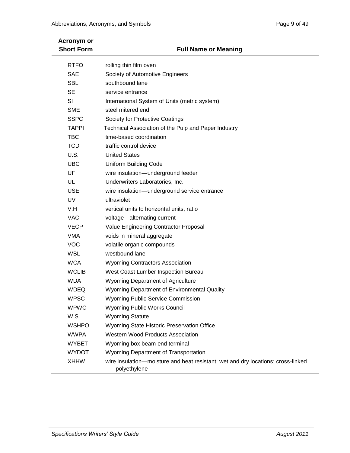| Acronym or<br><b>Short Form</b> | <b>Full Name or Meaning</b>                                                                      |
|---------------------------------|--------------------------------------------------------------------------------------------------|
| <b>RTFO</b>                     | rolling thin film oven                                                                           |
| <b>SAE</b>                      | Society of Automotive Engineers                                                                  |
| <b>SBL</b>                      | southbound lane                                                                                  |
| <b>SE</b>                       | service entrance                                                                                 |
| SI                              | International System of Units (metric system)                                                    |
| <b>SME</b>                      | steel mitered end                                                                                |
| <b>SSPC</b>                     | Society for Protective Coatings                                                                  |
| <b>TAPPI</b>                    | Technical Association of the Pulp and Paper Industry                                             |
| <b>TBC</b>                      | time-based coordination                                                                          |
| <b>TCD</b>                      | traffic control device                                                                           |
| U.S.                            | <b>United States</b>                                                                             |
| <b>UBC</b>                      | <b>Uniform Building Code</b>                                                                     |
| UF                              | wire insulation-underground feeder                                                               |
| UL                              | Underwriters Laboratories, Inc.                                                                  |
| <b>USE</b>                      | wire insulation-underground service entrance                                                     |
| <b>UV</b>                       | ultraviolet                                                                                      |
| V:H                             | vertical units to horizontal units, ratio                                                        |
| <b>VAC</b>                      | voltage-alternating current                                                                      |
| <b>VECP</b>                     | Value Engineering Contractor Proposal                                                            |
| <b>VMA</b>                      | voids in mineral aggregate                                                                       |
| <b>VOC</b>                      | volatile organic compounds                                                                       |
| <b>WBL</b>                      | westbound lane                                                                                   |
| <b>WCA</b>                      | <b>Wyoming Contractors Association</b>                                                           |
| <b>WCLIB</b>                    | West Coast Lumber Inspection Bureau                                                              |
| <b>WDA</b>                      | <b>Wyoming Department of Agriculture</b>                                                         |
| <b>WDEQ</b>                     | Wyoming Department of Environmental Quality                                                      |
| <b>WPSC</b>                     | <b>Wyoming Public Service Commission</b>                                                         |
| <b>WPWC</b>                     | <b>Wyoming Public Works Council</b>                                                              |
| W.S.                            | <b>Wyoming Statute</b>                                                                           |
| <b>WSHPO</b>                    | Wyoming State Historic Preservation Office                                                       |
| <b>WWPA</b>                     | Western Wood Products Association                                                                |
| <b>WYBET</b>                    | Wyoming box beam end terminal                                                                    |
| <b>WYDOT</b>                    | Wyoming Department of Transportation                                                             |
| <b>XHHW</b>                     | wire insulation—moisture and heat resistant; wet and dry locations; cross-linked<br>polyethylene |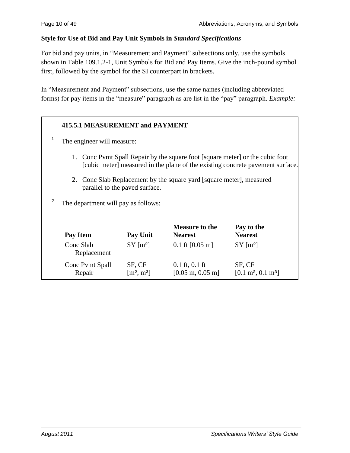### **Style for Use of Bid and Pay Unit Symbols in** *Standard Specifications*

For bid and pay units, in "Measurement and Payment" subsections only, use the symbols shown in Table 109.1.2-1, Unit Symbols for Bid and Pay Items. Give the inch-pound symbol first, followed by the symbol for the SI counterpart in brackets.

In "Measurement and Payment" subsections, use the same names (including abbreviated forms) for pay items in the "measure" paragraph as are list in the "pay" paragraph. *Example:* 

# **415.5.1 MEASUREMENT and PAYMENT**

- 1 The engineer will measure:
	- 1. Conc Pvmt Spall Repair by the square foot [square meter] or the cubic foot [cubic meter] measured in the plane of the existing concrete pavement surface.
	- 2. Conc Slab Replacement by the square yard [square meter], measured parallel to the paved surface.
- 2 The department will pay as follows:

| Pay Item                  | Pay Unit                           | <b>Measure to the</b><br><b>Nearest</b>                  | Pay to the<br><b>Nearest</b>                   |
|---------------------------|------------------------------------|----------------------------------------------------------|------------------------------------------------|
| Conc Slab<br>Replacement  | $SY$ [m <sup>2</sup> ]             | $0.1 \text{ ft} [0.05 \text{ m}]$                        | $SY$ [m <sup>2</sup> ]                         |
| Conc Pvmt Spall<br>Repair | SF, CF<br>$\lceil m^2, m^3 \rceil$ | $0.1$ ft, $0.1$ ft<br>$[0.05 \text{ m}, 0.05 \text{ m}]$ | SF, CF<br>$[0.1 \text{ m}^2, 0.1 \text{ m}^3]$ |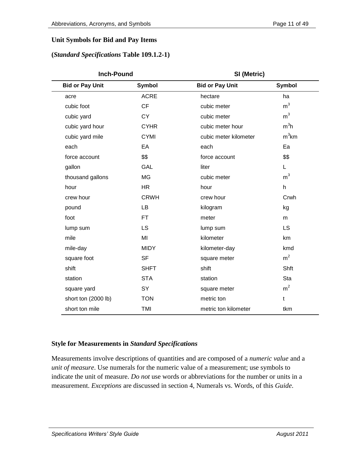# **Unit Symbols for Bid and Pay Items**

#### **(***Standard Specifications* **Table 109.1.2-1)**

| <b>Inch-Pound</b>      |               |                        | SI (Metric)      |  |  |
|------------------------|---------------|------------------------|------------------|--|--|
| <b>Bid or Pay Unit</b> | <b>Symbol</b> | <b>Bid or Pay Unit</b> | <b>Symbol</b>    |  |  |
| acre                   | <b>ACRE</b>   | hectare                | ha               |  |  |
| cubic foot             | <b>CF</b>     | cubic meter            | m <sup>3</sup>   |  |  |
| cubic yard             | <b>CY</b>     | cubic meter            | m <sup>3</sup>   |  |  |
| cubic yard hour        | <b>CYHR</b>   | cubic meter hour       | m <sup>3</sup> h |  |  |
| cubic yard mile        | <b>CYMI</b>   | cubic meter kilometer  | $m3$ km          |  |  |
| each                   | EA            | each                   | Ea               |  |  |
| force account          | \$\$          | force account          | \$\$             |  |  |
| gallon                 | GAL           | liter                  | L.               |  |  |
| thousand gallons       | <b>MG</b>     | cubic meter            | m <sup>3</sup>   |  |  |
| hour                   | <b>HR</b>     | hour                   | $\mathsf{h}$     |  |  |
| crew hour              | <b>CRWH</b>   | crew hour              | Crwh             |  |  |
| pound                  | <b>LB</b>     | kilogram               | kg               |  |  |
| foot                   | <b>FT</b>     | meter                  | m                |  |  |
| lump sum               | LS            | lump sum               | <b>LS</b>        |  |  |
| mile                   | MI            | kilometer              | km               |  |  |
| mile-day               | <b>MIDY</b>   | kilometer-day          | kmd              |  |  |
| square foot            | <b>SF</b>     | square meter           | m <sup>2</sup>   |  |  |
| shift                  | <b>SHFT</b>   | shift                  | Shft             |  |  |
| station                | <b>STA</b>    | station                | Sta              |  |  |
| square yard            | SY            | square meter           | m <sup>2</sup>   |  |  |
| short ton (2000 lb)    | <b>TON</b>    | metric ton             | t                |  |  |
| short ton mile         | <b>TMI</b>    | metric ton kilometer   | tkm              |  |  |

# **Style for Measurements in** *Standard Specifications*

Measurements involve descriptions of quantities and are composed of a *numeric value* and a *unit of measure*. Use numerals for the numeric value of a measurement; use symbols to indicate the unit of measure. *Do not* use words or abbreviations for the number or units in a measurement. *Exceptions* are discussed in section 4, Numerals vs. Words, of this *Guide*.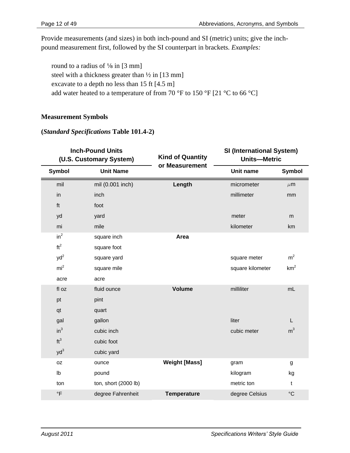Provide measurements (and sizes) in both inch-pound and SI (metric) units; give the inchpound measurement first, followed by the SI counterpart in brackets. *Examples:*

round to a radius of  $\frac{1}{8}$  in [3 mm] steel with a thickness greater than  $\frac{1}{2}$  in [13 mm] excavate to a depth no less than 15 ft [4.5 m] add water heated to a temperature of from 70 °F to 150 °F [21 °C to 66 °C]

# **Measurement Symbols**

#### **(***Standard Specifications* **Table 101.4-2)**

|                 | <b>Inch-Pound Units</b><br><b>Kind of Quantity</b><br>(U.S. Customary System) |                      |                  | <b>SI (International System)</b><br><b>Units-Metric</b> |  |  |
|-----------------|-------------------------------------------------------------------------------|----------------------|------------------|---------------------------------------------------------|--|--|
| <b>Symbol</b>   | <b>Unit Name</b>                                                              | or Measurement       | Unit name        | <b>Symbol</b>                                           |  |  |
| mil             | mil (0.001 inch)                                                              | Length               | micrometer       | $\mu$ m                                                 |  |  |
| in              | inch                                                                          |                      | millimeter       | mm                                                      |  |  |
| ft              | foot                                                                          |                      |                  |                                                         |  |  |
| yd              | yard                                                                          |                      | meter            | m                                                       |  |  |
| mi              | mile                                                                          |                      | kilometer        | km                                                      |  |  |
| $in^2$          | square inch                                                                   | Area                 |                  |                                                         |  |  |
| ft <sup>2</sup> | square foot                                                                   |                      |                  |                                                         |  |  |
| $yd^2$          | square yard                                                                   |                      | square meter     | m <sup>2</sup>                                          |  |  |
| mi <sup>2</sup> | square mile                                                                   |                      | square kilometer | km <sup>2</sup>                                         |  |  |
| acre            | acre                                                                          |                      |                  |                                                         |  |  |
| fl oz           | fluid ounce                                                                   | <b>Volume</b>        | milliliter       | mL                                                      |  |  |
| pt              | pint                                                                          |                      |                  |                                                         |  |  |
| qt              | quart                                                                         |                      |                  |                                                         |  |  |
| gal             | gallon                                                                        |                      | liter            | L                                                       |  |  |
| $in^3$          | cubic inch                                                                    |                      | cubic meter      | m <sup>3</sup>                                          |  |  |
| ft <sup>3</sup> | cubic foot                                                                    |                      |                  |                                                         |  |  |
| $yd^3$          | cubic yard                                                                    |                      |                  |                                                         |  |  |
| 0Z              | ounce                                                                         | <b>Weight [Mass]</b> | gram             | g                                                       |  |  |
| Ib              | pound                                                                         |                      | kilogram         | kg                                                      |  |  |
| ton             | ton, short (2000 lb)                                                          |                      | metric ton       | $\mathsf{t}$                                            |  |  |
| $\circ$ F       | degree Fahrenheit                                                             | <b>Temperature</b>   | degree Celsius   | $\rm ^{\circ}C$                                         |  |  |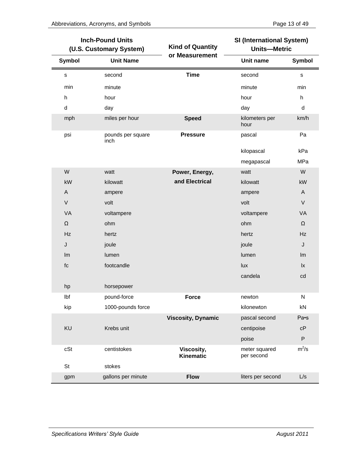|              | <b>Inch-Pound Units</b><br>(U.S. Customary System) | <b>Kind of Quantity</b>   | <b>SI (International System)</b><br><b>Units-Metric</b> |               |
|--------------|----------------------------------------------------|---------------------------|---------------------------------------------------------|---------------|
| Symbol       | <b>Unit Name</b>                                   | or Measurement            | Unit name                                               | <b>Symbol</b> |
| $\mathsf{s}$ | second                                             | <b>Time</b>               | second                                                  | $\mathbf s$   |
| min          | minute                                             |                           | minute                                                  | min           |
| h            | hour                                               |                           | hour                                                    | h             |
| d            | day                                                |                           | day                                                     | d             |
| mph          | miles per hour                                     | <b>Speed</b>              | kilometers per<br>hour                                  | km/h          |
| psi          | pounds per square<br>inch                          | <b>Pressure</b>           | pascal                                                  | Pa            |
|              |                                                    |                           | kilopascal                                              | kPa           |
|              |                                                    |                           | megapascal                                              | MPa           |
| W            | watt                                               | Power, Energy,            | watt                                                    | W             |
| kW           | kilowatt                                           | and Electrical            | kilowatt                                                | kW            |
| A            | ampere                                             |                           | ampere                                                  | A             |
| $\mathsf V$  | volt                                               |                           | volt                                                    | $\vee$        |
| VA           | voltampere                                         |                           | voltampere                                              | VA            |
| Ω            | ohm                                                |                           | ohm                                                     | Ω             |
| Hz           | hertz                                              |                           | hertz                                                   | Hz            |
| J            | joule                                              |                           | joule                                                   | J             |
| Im           | lumen                                              |                           | lumen                                                   | Im            |
| fc           | footcandle                                         |                           | lux                                                     | lx            |
|              |                                                    |                           | candela                                                 | cd            |
| hp           | horsepower                                         |                           |                                                         |               |
| Ibf          | pound-force                                        | <b>Force</b>              | newton                                                  | ${\sf N}$     |
| kip          | 1000-pounds force                                  |                           | kilonewton                                              | kN            |
|              |                                                    | <b>Viscosity, Dynamic</b> | pascal second                                           | Pa•s          |
| KU           | Krebs unit                                         |                           | centipoise                                              | cP            |
|              |                                                    |                           | poise                                                   | ${\sf P}$     |
| cSt          | centistokes                                        | Viscosity,<br>Kinematic   | meter squared<br>per second                             | $m^2/s$       |
| St           | stokes                                             |                           |                                                         |               |
| gpm          | gallons per minute                                 | <b>Flow</b>               | liters per second                                       | L/s           |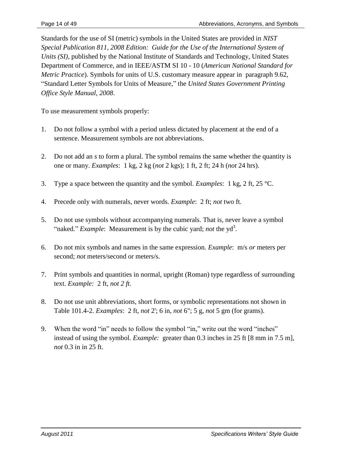Standards for the use of SI (metric) symbols in the United States are provided in *NIST Special Publication 811, 2008 Edition: Guide for the Use of the International System of Units (SI)*, published by the National Institute of Standards and Technology, United States Department of Commerce, and in IEEE/ASTM SI 10 - 10 (*American National Standard for Metric Practice*). Symbols for units of U.S. customary measure appear in paragraph 9.62, ―Standard Letter Symbols for Units of Measure,‖ the *United States Government Printing Office Style Manual, 2008*.

To use measurement symbols properly:

- 1. Do not follow a symbol with a period unless dictated by placement at the end of a sentence. Measurement symbols are not abbreviations.
- 2. Do not add an *s* to form a plural. The symbol remains the same whether the quantity is one or many. *Examples*: 1 kg, 2 kg (*not* 2 kgs); 1 ft, 2 ft; 24 h (*not* 24 hrs).
- 3. Type a space between the quantity and the symbol. *Examples*: 1 kg, 2 ft, 25 °C.
- 4. Precede only with numerals, never words. *Example*: 2 ft; *not* two ft.
- 5. Do not use symbols without accompanying numerals. That is, never leave a symbol "naked." *Example*: Measurement is by the cubic yard; *not* the yd<sup>3</sup>.
- 6. Do not mix symbols and names in the same expression. *Example*: m/s *or* meters per second; *not* meters/second or meters/s.
- 7. Print symbols and quantities in normal, upright (Roman) type regardless of surrounding text. *Example:* 2 ft, *not 2 ft.*
- 8. Do not use unit abbreviations, short forms, or symbolic representations not shown in Table 101.4-2. *Examples*: 2 ft, *not* 2'; 6 in, *not* 6"; 5 g, *not* 5 gm (for grams).
- 9. When the word "in" needs to follow the symbol "in," write out the word "inches" instead of using the symbol. *Example:* greater than 0.3 inches in 25 ft [8 mm in 7.5 m], *not* 0.3 in in 25 ft.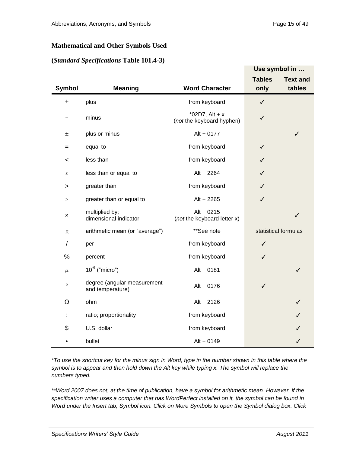#### **Mathematical and Other Symbols Used**

#### **(***Standard Specifications* **Table 101.4-3)**

|                |                                                 |                                               |                       | Use symbol in             |
|----------------|-------------------------------------------------|-----------------------------------------------|-----------------------|---------------------------|
| <b>Symbol</b>  | <b>Meaning</b>                                  | <b>Word Character</b>                         | <b>Tables</b><br>only | <b>Text and</b><br>tables |
| +              | plus                                            | from keyboard                                 | $\checkmark$          |                           |
|                | minus                                           | *02D7, Alt + $x$<br>(not the keyboard hyphen) | ✓                     |                           |
| 土              | plus or minus                                   | $Alt + 0177$                                  |                       | ✓                         |
| $=$            | equal to                                        | from keyboard                                 | ✓                     |                           |
| <              | less than                                       | from keyboard                                 | ✓                     |                           |
| $\leq$         | less than or equal to                           | Alt + 2264                                    | ✓                     |                           |
| >              | greater than                                    | from keyboard                                 | ✓                     |                           |
| $\geq$         | greater than or equal to                        | Alt + 2265                                    | ✓                     |                           |
| ×              | multiplied by;<br>dimensional indicator         | Alt $+0215$<br>(not the keyboard letter x)    |                       | $\checkmark$              |
| $\bar{\times}$ | arithmetic mean (or "average")                  | **See note                                    |                       | statistical formulas      |
| T              | per                                             | from keyboard                                 | ✓                     |                           |
| $\%$           | percent                                         | from keyboard                                 | ✓                     |                           |
| $\mu$          | $10^{-6}$ ("micro")                             | $Alt + 0181$                                  |                       | ✓                         |
| $\circ$        | degree (angular measurement<br>and temperature) | $Alt + 0176$                                  | ✓                     |                           |
| Ω              | ohm                                             | Alt + 2126                                    |                       | ✓                         |
| ÷              | ratio; proportionality                          | from keyboard                                 |                       | ✓                         |
| \$             | U.S. dollar                                     | from keyboard                                 |                       | ✓                         |
|                | bullet                                          | $Alt + 0149$                                  |                       | ✓                         |

*\*To use the shortcut key for the minus sign in Word, type in the number shown in this table where the symbol is to appear and then hold down the Alt key while typing x. The symbol will replace the numbers typed.* 

*\*\*Word 2007 does not, at the time of publication, have a symbol for arithmetic mean. However, if the specification writer uses a computer that has WordPerfect installed on it, the symbol can be found in Word under the Insert tab, Symbol icon. Click on More Symbols to open the Symbol dialog box. Click*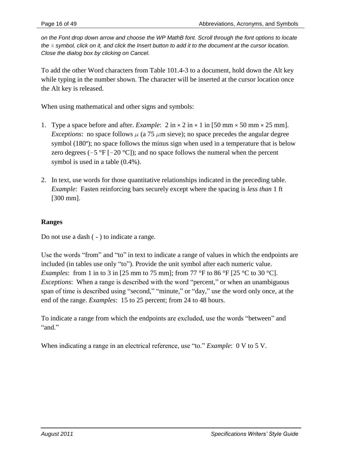*on the Font drop down arrow and choose the WP MathB font. Scroll through the font options to locate*  the  $\bar{x}$  symbol, click on it, and click the Insert button to add it to the document at the cursor location. *Close the dialog box by clicking on Cancel.*

To add the other Word characters from Table 101.4-3 to a document, hold down the Alt key while typing in the number shown. The character will be inserted at the cursor location once the Alt key is released.

When using mathematical and other signs and symbols:

- 1. Type a space before and after. *Example*:  $2 \text{ in } \times 2 \text{ in } \times 1$  in [50 mm  $\times$  50 mm  $\times 25$  mm]. *Exceptions*: no space follows  $\mu$  (a 75  $\mu$ m sieve); no space precedes the angular degree symbol (180<sup>o</sup>); no space follows the minus sign when used in a temperature that is below zero degrees  $(-5 \text{ }^{\circ}\text{F} [-20 \text{ }^{\circ}\text{C}])$ ; and no space follows the numeral when the percent symbol is used in a table (0.4%).
- 2. In text, use words for those quantitative relationships indicated in the preceding table. *Example*: Fasten reinforcing bars securely except where the spacing is *less than* 1 ft [300 mm].

# **Ranges**

Do not use a dash ( - ) to indicate a range.

Use the words "from" and "to" in text to indicate a range of values in which the endpoints are included (in tables use only "to"). Provide the unit symbol after each numeric value. *Examples*: from 1 in to 3 in [25 mm to 75 mm]; from 77 °F to 86 °F [25 °C to 30 °C]. *Exceptions*: When a range is described with the word "percent," or when an unambiguous span of time is described using "second," "minute," or "day," use the word only once, at the end of the range. *Examples*: 15 to 25 percent; from 24 to 48 hours.

To indicate a range from which the endpoints are excluded, use the words "between" and "and."

When indicating a range in an electrical reference, use "to." *Example*: 0 V to 5 V.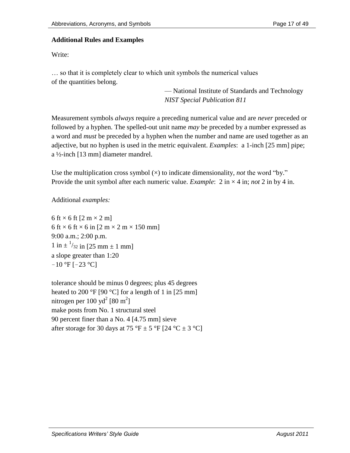### **Additional Rules and Examples**

Write:

… so that it is completely clear to which unit symbols the numerical values of the quantities belong.

> — National Institute of Standards and Technology *NIST Special Publication 811*

Measurement symbols *always* require a preceding numerical value and are *never* preceded or followed by a hyphen. The spelled-out unit name *may* be preceded by a number expressed as a word and *must* be preceded by a hyphen when the number and name are used together as an adjective, but no hyphen is used in the metric equivalent. *Examples*: a 1-inch [25 mm] pipe; a ½-inch [13 mm] diameter mandrel.

Use the multiplication cross symbol  $(x)$  to indicate dimensionality, *not* the word "by." Provide the unit symbol after each numeric value. *Example*:  $2 \text{ in } \times 4 \text{ in}$ ; *not*  $2 \text{ in by } 4 \text{ in}$ .

Additional *examples:*

6 ft  $\times$  6 ft [2 m  $\times$  2 m] 6 ft  $\times$  6 ft  $\times$  6 in [2 m  $\times$  2 m  $\times$  150 mm] 9:00 a.m.; 2:00 p.m.  $1 \text{ in } \pm \frac{1}{32} \text{ in } [25 \text{ mm } \pm 1 \text{ mm}]$ a slope greater than 1:20  $-10$  °F [ $-23$  °C]

tolerance should be minus 0 degrees; plus 45 degrees heated to 200 °F [90 °C] for a length of 1 in [25 mm] nitrogen per 100 yd<sup>2</sup> [80 m<sup>2</sup>] make posts from No. 1 structural steel 90 percent finer than a No. 4 [4.75 mm] sieve after storage for 30 days at 75 °F  $\pm$  5 °F [24 °C  $\pm$  3 °C]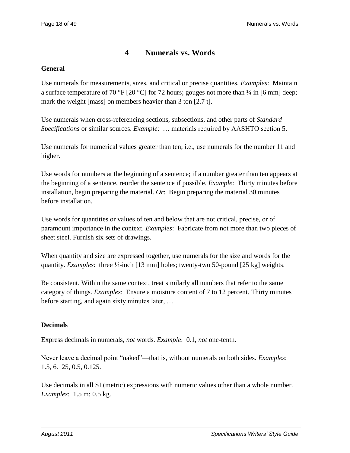# **4 Numerals vs. Words**

# **General**

Use numerals for measurements, sizes, and critical or precise quantities. *Examples*: Maintain a surface temperature of 70 °F [20 °C] for 72 hours; gouges not more than  $\frac{1}{4}$  in [6 mm] deep; mark the weight [mass] on members heavier than 3 ton [2.7 t].

Use numerals when cross-referencing sections, subsections, and other parts of *Standard Specifications* or similar sources. *Example*: … materials required by AASHTO section 5.

Use numerals for numerical values greater than ten; i.e., use numerals for the number 11 and higher.

Use words for numbers at the beginning of a sentence; if a number greater than ten appears at the beginning of a sentence, reorder the sentence if possible. *Example*: Thirty minutes before installation, begin preparing the material. *Or*: Begin preparing the material 30 minutes before installation.

Use words for quantities or values of ten and below that are not critical, precise, or of paramount importance in the context. *Examples*: Fabricate from not more than two pieces of sheet steel. Furnish six sets of drawings.

When quantity and size are expressed together, use numerals for the size and words for the quantity. *Examples*: three ½-inch [13 mm] holes; twenty-two 50-pound [25 kg] weights.

Be consistent. Within the same context, treat similarly all numbers that refer to the same category of things. *Examples*: Ensure a moisture content of 7 to 12 percent. Thirty minutes before starting, and again sixty minutes later, …

# **Decimals**

Express decimals in numerals, *not* words. *Example*: 0.1, *not* one-tenth.

Never leave a decimal point "naked"—that is, without numerals on both sides. *Examples*: 1.5, 6.125, 0.5, 0.125.

Use decimals in all SI (metric) expressions with numeric values other than a whole number. *Examples*: 1.5 m; 0.5 kg.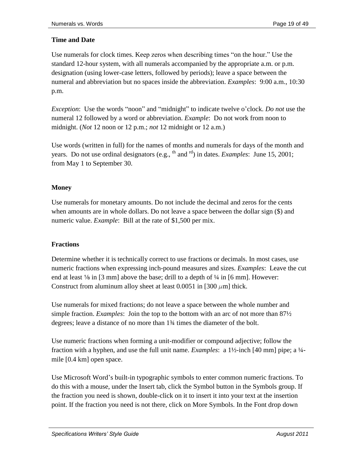# **Time and Date**

Use numerals for clock times. Keep zeros when describing times "on the hour." Use the standard 12-hour system, with all numerals accompanied by the appropriate a.m. or p.m. designation (using lower-case letters, followed by periods); leave a space between the numeral and abbreviation but no spaces inside the abbreviation. *Examples*: 9:00 a.m., 10:30 p.m.

*Exception*: Use the words "noon" and "midnight" to indicate twelve o'clock. *Do not* use the numeral 12 followed by a word or abbreviation. *Example*: Do not work from noon to midnight. (*Not* 12 noon or 12 p.m.; *not* 12 midnight or 12 a.m.)

Use words (written in full) for the names of months and numerals for days of the month and years. Do not use ordinal designators (e.g., <sup>th</sup> and <sup>rd</sup>) in dates. *Examples*: June 15, 2001; from May 1 to September 30.

# **Money**

Use numerals for monetary amounts. Do not include the decimal and zeros for the cents when amounts are in whole dollars. Do not leave a space between the dollar sign (\$) and numeric value. *Example*: Bill at the rate of \$1,500 per mix.

#### **Fractions**

Determine whether it is technically correct to use fractions or decimals. In most cases, use numeric fractions when expressing inch-pound measures and sizes. *Examples*: Leave the cut end at least  $\frac{1}{8}$  in [3 mm] above the base; drill to a depth of  $\frac{1}{4}$  in [6 mm]. However: Construct from aluminum alloy sheet at least 0.0051 in [300  $\mu$ m] thick.

Use numerals for mixed fractions; do not leave a space between the whole number and simple fraction. *Examples*: Join the top to the bottom with an arc of not more than 87½ degrees; leave a distance of no more than 1¾ times the diameter of the bolt.

Use numeric fractions when forming a unit-modifier or compound adjective; follow the fraction with a hyphen, and use the full unit name. *Examples*: a 1½-inch [40 mm] pipe; a ¼ mile [0.4 km] open space.

Use Microsoft Word's built-in typographic symbols to enter common numeric fractions. To do this with a mouse, under the Insert tab, click the Symbol button in the Symbols group. If the fraction you need is shown, double-click on it to insert it into your text at the insertion point. If the fraction you need is not there, click on More Symbols. In the Font drop down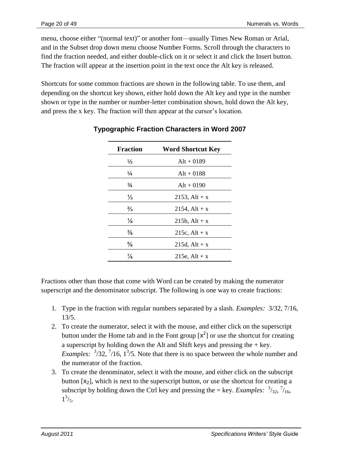menu, choose either "(normal text)" or another font—usually Times New Roman or Arial, and in the Subset drop down menu choose Number Forms. Scroll through the characters to find the fraction needed, and either double-click on it or select it and click the Insert button. The fraction will appear at the insertion point in the text once the Alt key is released.

Shortcuts for some common fractions are shown in the following table. To use them, and depending on the shortcut key shown, either hold down the Alt key and type in the number shown or type in the number or number-letter combination shown, hold down the Alt key, and press the x key. The fraction will then appear at the cursor's location.

| <b>Fraction</b> | <b>Word Shortcut Key</b> |
|-----------------|--------------------------|
| ½               | $Alt + 0189$             |
| ¼               | $Alt + 0188$             |
| $\frac{3}{4}$   | $Alt + 0190$             |
| $\frac{1}{3}$   | 2153, Alt + $x$          |
| $\frac{2}{3}$   | 2154, Alt + $x$          |
| $\frac{1}{8}$   | $215b$ , Alt + x         |
| ⅗               | 215c, $Alt + x$          |
| $\frac{5}{8}$   | $215d, Alt + x$          |
| $\frac{7}{8}$   | 215e, $Alt + x$          |

# **Typographic Fraction Characters in Word 2007**

Fractions other than those that come with Word can be created by making the numerator superscript and the denominator subscript. The following is one way to create fractions:

- 1. Type in the fraction with regular numbers separated by a slash. *Examples:* 3/32, 7/16, 13/5.
- 2. To create the numerator, select it with the mouse, and either click on the superscript button under the Home tab and in the Font group  $[x^2]$  or use the shortcut for creating a superscript by holding down the Alt and Shift keys and pressing the  $+$  key. *Examples:*  $\frac{3}{32}$ ,  $\frac{7}{16}$ ,  $\frac{13}{5}$ . Note that there is no space between the whole number and the numerator of the fraction.
- 3. To create the denominator, select it with the mouse, and either click on the subscript button  $[x_2]$ , which is next to the superscript button, or use the shortcut for creating a subscript by holding down the Ctrl key and pressing the = key. *Examples*:  $\frac{3}{32}$ ,  $\frac{7}{16}$ ,  $1^{3}/_{5}.$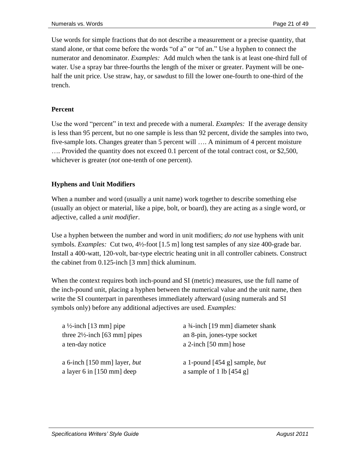Use words for simple fractions that do not describe a measurement or a precise quantity, that stand alone, or that come before the words "of a" or "of an." Use a hyphen to connect the numerator and denominator. *Examples:* Add mulch when the tank is at least one-third full of water. Use a spray bar three-fourths the length of the mixer or greater. Payment will be onehalf the unit price. Use straw, hay, or sawdust to fill the lower one-fourth to one-third of the trench.

# **Percent**

Use the word "percent" in text and precede with a numeral. *Examples:* If the average density is less than 95 percent, but no one sample is less than 92 percent, divide the samples into two, five-sample lots. Changes greater than 5 percent will …. A minimum of 4 percent moisture …. Provided the quantity does not exceed 0.1 percent of the total contract cost, or \$2,500, whichever is greater (*not* one-tenth of one percent).

# **Hyphens and Unit Modifiers**

When a number and word (usually a unit name) work together to describe something else (usually an object or material, like a pipe, bolt, or board), they are acting as a single word, or adjective, called a *unit modifier*.

Use a hyphen between the number and word in unit modifiers; *do not* use hyphens with unit symbols. *Examples:* Cut two, 4½-foot [1.5 m] long test samples of any size 400-grade bar. Install a 400-watt, 120-volt, bar-type electric heating unit in all controller cabinets. Construct the cabinet from 0.125-inch [3 mm] thick aluminum.

When the context requires both inch-pound and SI (metric) measures, use the full name of the inch-pound unit, placing a hyphen between the numerical value and the unit name, then write the SI counterpart in parentheses immediately afterward (using numerals and SI symbols only) before any additional adjectives are used. *Examples:*

| a $\frac{1}{2}$ -inch [13 mm] pipe       | a $\frac{3}{4}$ -inch [19 mm] diameter shank   |
|------------------------------------------|------------------------------------------------|
| three $2\frac{1}{2}$ -inch [63 mm] pipes | an 8-pin, jones-type socket                    |
| a ten-day notice                         | a 2-inch [50 mm] hose                          |
| a 6-inch [150 mm] layer, <i>but</i>      | a 1-pound $[454 \text{ g}]$ sample, <i>but</i> |
| a layer 6 in $[150 \text{ mm}]$ deep     | a sample of 1 lb $[454 g]$                     |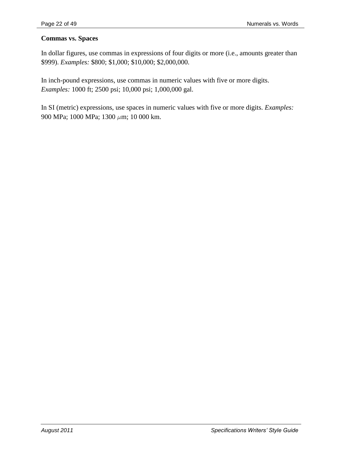#### **Commas vs. Spaces**

In dollar figures, use commas in expressions of four digits or more (i.e., amounts greater than \$999). *Examples:* \$800; \$1,000; \$10,000; \$2,000,000.

In inch-pound expressions, use commas in numeric values with five or more digits. *Examples:* 1000 ft; 2500 psi; 10,000 psi; 1,000,000 gal.

In SI (metric) expressions, use spaces in numeric values with five or more digits. *Examples:* 900 MPa; 1000 MPa; 1300  $\mu$ m; 10 000 km.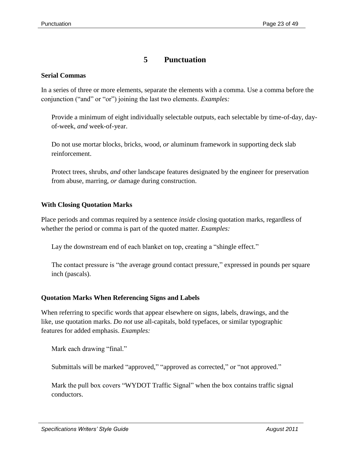# **5 Punctuation**

#### **Serial Commas**

In a series of three or more elements, separate the elements with a comma. Use a comma before the conjunction ("and" or "or") joining the last two elements. *Examples:* 

Provide a minimum of eight individually selectable outputs, each selectable by time-of-day, dayof-week, *and* week-of-year.

Do not use mortar blocks, bricks, wood, *or* aluminum framework in supporting deck slab reinforcement.

Protect trees, shrubs, *and* other landscape features designated by the engineer for preservation from abuse, marring, *or* damage during construction.

#### **With Closing Quotation Marks**

Place periods and commas required by a sentence *inside* closing quotation marks, regardless of whether the period or comma is part of the quoted matter. *Examples:*

Lay the downstream end of each blanket on top, creating a "shingle effect."

The contact pressure is "the average ground contact pressure," expressed in pounds per square inch (pascals).

#### **Quotation Marks When Referencing Signs and Labels**

When referring to specific words that appear elsewhere on signs, labels, drawings, and the like, use quotation marks. *Do not* use all-capitals, bold typefaces, or similar typographic features for added emphasis. *Examples:*

Mark each drawing "final."

Submittals will be marked "approved," "approved as corrected," or "not approved."

Mark the pull box covers "WYDOT Traffic Signal" when the box contains traffic signal conductors.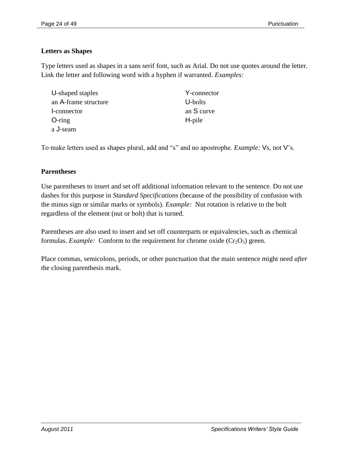# **Letters as Shapes**

Type letters used as shapes in a sans serif font, such as Arial. Do not use quotes around the letter. Link the letter and following word with a hyphen if warranted. *Examples:*

| U-shaped staples     | Y-connector |
|----------------------|-------------|
| an A-frame structure | U-bolts     |
| -connector           | an S curve  |
| $O$ -ring            | H-pile      |
| a J-seam             |             |

To make letters used as shapes plural, add and "s" and no apostrophe. *Example:* Vs, not V's.

# **Parentheses**

Use parentheses to insert and set off additional information relevant to the sentence. Do not use dashes for this purpose in *Standard Specifications* (because of the possibility of confusion with the minus sign or similar marks or symbols). *Example:* Nut rotation is relative to the bolt regardless of the element (nut or bolt) that is turned.

Parentheses are also used to insert and set off counterparts or equivalencies, such as chemical formulas. *Example:* Conform to the requirement for chrome oxide  $(Cr_2O_3)$  green.

Place commas, semicolons, periods, or other punctuation that the main sentence might need *after* the closing parenthesis mark.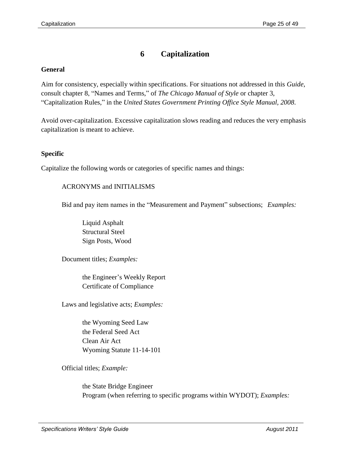# **6 Capitalization**

#### **General**

Aim for consistency, especially within specifications. For situations not addressed in this *Guide*, consult chapter 8, "Names and Terms," of *The Chicago Manual of Style* or chapter 3, ―Capitalization Rules,‖ in the *United States Government Printing Office Style Manual, 2008*.

Avoid over-capitalization. Excessive capitalization slows reading and reduces the very emphasis capitalization is meant to achieve.

#### **Specific**

Capitalize the following words or categories of specific names and things:

#### ACRONYMS and INITIALISMS

Bid and pay item names in the "Measurement and Payment" subsections; *Examples:* 

Liquid Asphalt Structural Steel Sign Posts, Wood

Document titles; *Examples:*

the Engineer's Weekly Report Certificate of Compliance

Laws and legislative acts; *Examples:*

the Wyoming Seed Law the Federal Seed Act Clean Air Act Wyoming Statute 11-14-101

Official titles; *Example:*

the State Bridge Engineer Program (when referring to specific programs within WYDOT); *Examples:*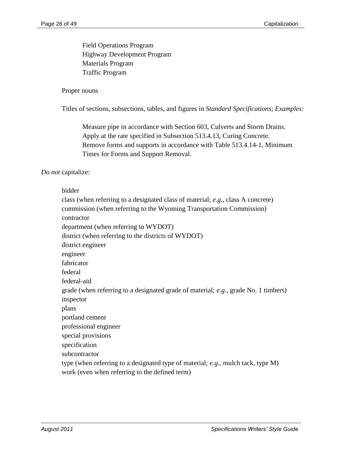Field Operations Program Highway Development Program Materials Program Traffic Program

#### Proper nouns

Titles of sections, subsections, tables, and figures in *Standard Specifications*; *Examples:*

Measure pipe in accordance with Section 603, Culverts and Storm Drains. Apply at the rate specified in Subsection 513.4.13, Curing Concrete. Remove forms and supports in accordance with Table 513.4.14-1, Minimum Times for Forms and Support Removal.

#### *Do not* capitalize:

#### bidder

class (when referring to a designated class of material; *e.g.,* class A concrete) commission (when referring to the Wyoming Transportation Commission) contractor department (when referring to WYDOT) district (when referring to the districts of WYDOT) district engineer engineer fabricator federal federal-aid grade (when referring to a designated grade of material; *e.g.,* grade No. 1 timbers) inspector plans portland cement professional engineer special provisions specification subcontractor type (when referring to a designated type of material; *e.g.,* mulch tack, type M) work (even when referring to the defined term)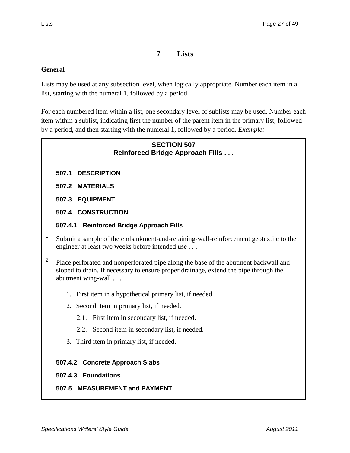# **7 Lists**

#### **General**

Lists may be used at any subsection level, when logically appropriate. Number each item in a list, starting with the numeral 1, followed by a period.

For each numbered item within a list, one secondary level of sublists may be used. Number each item within a sublist, indicating first the number of the parent item in the primary list, followed by a period, and then starting with the numeral 1, followed by a period. *Example:*

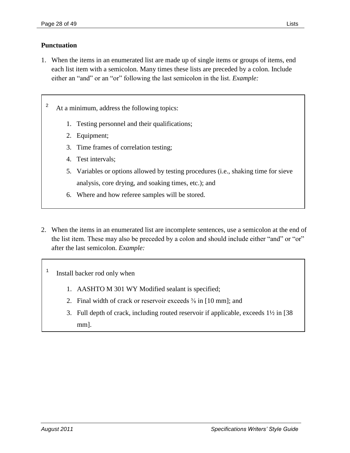#### **Punctuation**

1. When the items in an enumerated list are made up of single items or groups of items, end each list item with a semicolon. Many times these lists are preceded by a colon. Include either an "and" or an "or" following the last semicolon in the list. *Example*:

<sup>2</sup> At a minimum, address the following topics:

- 1. Testing personnel and their qualifications;
- 2. Equipment;
- 3. Time frames of correlation testing;
- 4. Test intervals;
- 5. Variables or options allowed by testing procedures (i.e., shaking time for sieve analysis, core drying, and soaking times, etc.); and
- 6. Where and how referee samples will be stored.
- 2. When the items in an enumerated list are incomplete sentences, use a semicolon at the end of the list item. These may also be preceded by a colon and should include either "and" or "or" after the last semicolon. *Example:*

1 Install backer rod only when

- 1. AASHTO M 301 WY Modified sealant is specified;
- 2. Final width of crack or reservoir exceeds  $\frac{3}{8}$  in [10 mm]; and
- 3. Full depth of crack, including routed reservoir if applicable, exceeds 1½ in [38 mm].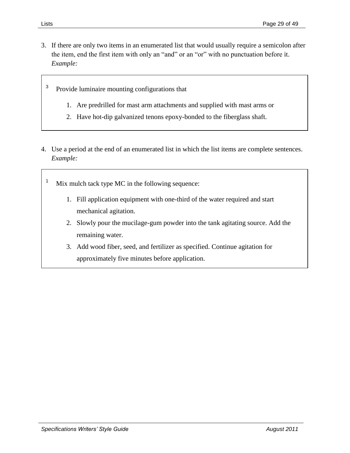- 3. If there are only two items in an enumerated list that would usually require a semicolon after the item, end the first item with only an "and" or an "or" with no punctuation before it. *Example:*
	- 3 Provide luminaire mounting configurations that
		- 1. Are predrilled for mast arm attachments and supplied with mast arms or
		- 2. Have hot-dip galvanized tenons epoxy-bonded to the fiberglass shaft.
- 4. Use a period at the end of an enumerated list in which the list items are complete sentences. *Example:*
	- <sup>1</sup> Mix mulch tack type MC in the following sequence:
		- 1. Fill application equipment with one-third of the water required and start mechanical agitation.
		- 2. Slowly pour the mucilage-gum powder into the tank agitating source. Add the remaining water.
		- 3. Add wood fiber, seed, and fertilizer as specified. Continue agitation for approximately five minutes before application.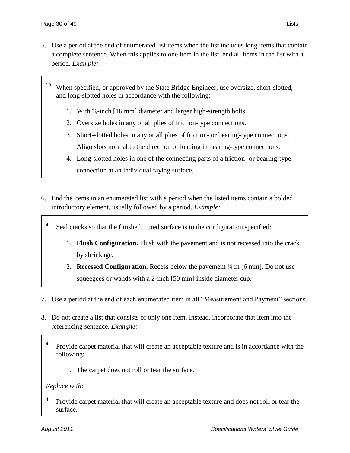- 5. Use a period at the end of enumerated list items when the list includes long items that contain a complete sentence. When this applies to one item in the list, end all items in the list with a period. *Example:*
	- <sup>10</sup> When specified, or approved by the State Bridge Engineer, use oversize, short-slotted, and long-slotted holes in accordance with the following:
		- 1. With ⅝-inch [16 mm] diameter and larger high-strength bolts.
		- 2. Oversize holes in any or all plies of friction-type connections.
		- 3. Short-slotted holes in any or all plies of friction- or bearing-type connections. Align slots normal to the direction of loading in bearing-type connections.
		- 4. Long-slotted holes in one of the connecting parts of a friction- or bearing-type connection at an individual faying surface.
- 6. End the items in an enumerated list with a period when the listed items contain a bolded introductory element, usually followed by a period. *Example:*
	- 4 Seal cracks so that the finished, cured surface is to the configuration specified:
		- 1. **Flush Configuration.** Flush with the pavement and is not recessed into the crack by shrinkage.
		- 2. **Recessed Configuration.** Recess below the pavement ¼ in [6 mm]. Do not use squeegees or wands with a 2-inch [50 mm] inside diameter cup.
- 7. Use a period at the end of each enumerated item in all "Measurement and Payment" sections.
- 8. Do not create a list that consists of only one item. Instead, incorporate that item into the referencing sentence. *Example:*
	- 4 Provide carpet material that will create an acceptable texture and is in accordance with the following:
		- 1. The carpet does not roll or tear the surface.

#### *Replace with:*

4 Provide carpet material that will create an acceptable texture and does not roll or tear the surface.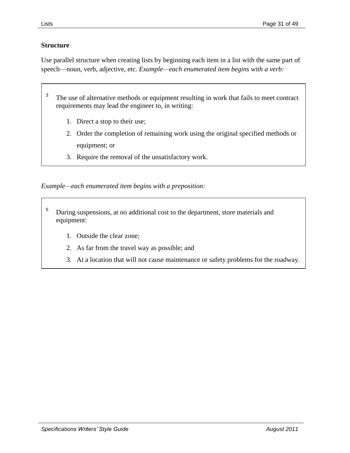# **Structure**

Use parallel structure when creating lists by beginning each item in a list with the same part of speech—noun, verb, adjective, etc. *Example—each enumerated item begins with a verb:*

- 3 The use of alternative methods or equipment resulting in work that fails to meet contract requirements may lead the engineer to, in writing:
	- 1. Direct a stop to their use;
	- 2. Order the completion of remaining work using the original specified methods or equipment; or
	- 3. Require the removal of the unsatisfactory work.

*Example—each enumerated item begins with a preposition:*

- <sup>5</sup> During suspensions, at no additional cost to the department, store materials and equipment:
	- 1. Outside the clear zone;
	- 2. As far from the travel way as possible; and
	- 3. At a location that will not cause maintenance or safety problems for the roadway.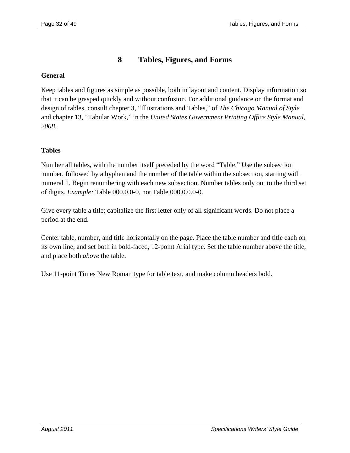# **8 Tables, Figures, and Forms**

### **General**

Keep tables and figures as simple as possible, both in layout and content. Display information so that it can be grasped quickly and without confusion. For additional guidance on the format and design of tables, consult chapter 3, "Illustrations and Tables," of *The Chicago Manual of Style* and chapter 13, "Tabular Work," in the *United States Government Printing Office Style Manual*, *2008*.

# **Tables**

Number all tables, with the number itself preceded by the word "Table." Use the subsection number, followed by a hyphen and the number of the table within the subsection, starting with numeral 1. Begin renumbering with each new subsection. Number tables only out to the third set of digits. *Example:* Table 000.0.0-0, not Table 000.0.0.0-0.

Give every table a title; capitalize the first letter only of all significant words. Do not place a period at the end.

Center table, number, and title horizontally on the page. Place the table number and title each on its own line, and set both in bold-faced, 12-point Arial type. Set the table number above the title, and place both *above* the table.

Use 11-point Times New Roman type for table text, and make column headers bold.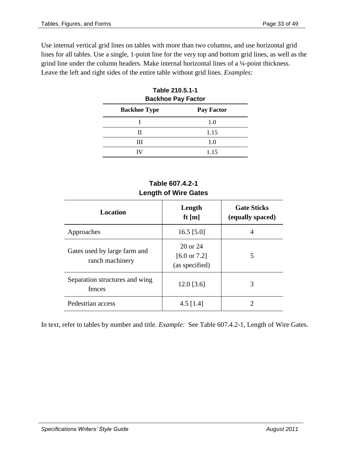Use internal vertical grid lines on tables with more than two columns, and use horizontal grid lines for all tables. Use a single, 1-point line for the very top and bottom grid lines, as well as the grind line under the column headers. Make internal horizontal lines of a ¼-point thickness. Leave the left and right sides of the entire table without grid lines. *Examples:*

| <b>Backhoe Pay Factor</b>                |      |  |  |
|------------------------------------------|------|--|--|
| <b>Pay Factor</b><br><b>Backhoe Type</b> |      |  |  |
|                                          | 1.0  |  |  |
| Н                                        | 1.15 |  |  |
| Ш                                        | 1.0  |  |  |
|                                          | 1.15 |  |  |

| Table 210.5.1-1           |  |  |
|---------------------------|--|--|
| <b>Backhoe Pay Factor</b> |  |  |
|                           |  |  |

# **Table 607.4.2-1 Length of Wire Gates**

| <b>Location</b>                                 | Length<br>ft $[m]$                                    | <b>Gate Sticks</b><br>(equally spaced) |
|-------------------------------------------------|-------------------------------------------------------|----------------------------------------|
| Approaches                                      | 16.5 $[5.0]$                                          | 4                                      |
| Gates used by large farm and<br>ranch machinery | 20 or 24<br>$[6.0 \text{ or } 7.2]$<br>(as specified) | 5                                      |
| Separation structures and wing<br>fences        | $12.0$ [3.6]                                          | 3                                      |
| Pedestrian access                               | 4.5 $[1.4]$                                           | റ                                      |

In text, refer to tables by number and title. *Example:* See Table 607.4.2-1, Length of Wire Gates.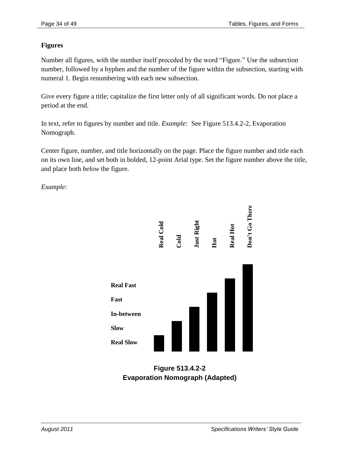# **Figures**

Number all figures, with the number itself preceded by the word "Figure." Use the subsection number, followed by a hyphen and the number of the figure within the subsection, starting with numeral 1. Begin renumbering with each new subsection.

Give every figure a title; capitalize the first letter only of all significant words. Do not place a period at the end.

In text, refer to figures by number and title. *Example:* See Figure 513.4.2-2, Evaporation Nomograph.

Center figure, number, and title horizontally on the page. Place the figure number and title each on its own line, and set both in bolded, 12-point Arial type. Set the figure number above the title, and place both *below* the figure.

*Example:*



**Figure 513.4.2-2 Evaporation Nomograph (Adapted)**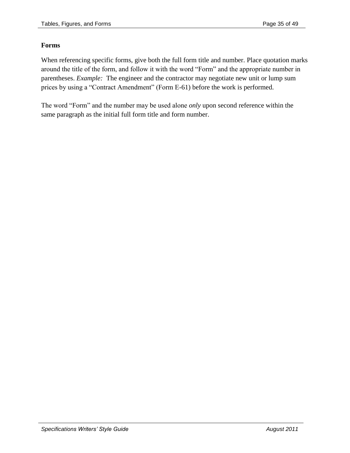# **Forms**

When referencing specific forms, give both the full form title and number. Place quotation marks around the title of the form, and follow it with the word "Form" and the appropriate number in parentheses. *Example:* The engineer and the contractor may negotiate new unit or lump sum prices by using a "Contract Amendment" (Form E-61) before the work is performed.

The word "Form" and the number may be used alone *only* upon second reference within the same paragraph as the initial full form title and form number.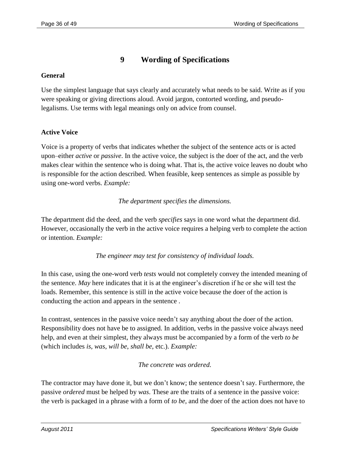# **9 Wording of Specifications**

### **General**

Use the simplest language that says clearly and accurately what needs to be said. Write as if you were speaking or giving directions aloud. Avoid jargon, contorted wording, and pseudolegalisms. Use terms with legal meanings only on advice from counsel.

# **Active Voice**

Voice is a property of verbs that indicates whether the subject of the sentence acts or is acted upon–either *active* or *passive*. In the active voice, the subject is the doer of the act, and the verb makes clear within the sentence who is doing what. That is, the active voice leaves no doubt who is responsible for the action described. When feasible, keep sentences as simple as possible by using one-word verbs. *Example:*

# *The department specifies the dimensions.*

The department did the deed, and the verb *specifies* says in one word what the department did. However, occasionally the verb in the active voice requires a helping verb to complete the action or intention. *Example:*

*The engineer may test for consistency of individual loads.*

In this case, using the one-word verb *tests* would not completely convey the intended meaning of the sentence. *May* here indicates that it is at the engineer's discretion if he or she will test the loads. Remember, this sentence is still in the active voice because the doer of the action is conducting the action and appears in the sentence .

In contrast, sentences in the passive voice needn't say anything about the doer of the action. Responsibility does not have be to assigned. In addition, verbs in the passive voice always need help, and even at their simplest, they always must be accompanied by a form of the verb *to be* (which includes *is*, *was*, *will be*, *shall be*, etc.). *Example:*

# *The concrete was ordered.*

The contractor may have done it, but we don't know; the sentence doesn't say. Furthermore, the passive *ordered* must be helped by *was*. These are the traits of a sentence in the passive voice: the verb is packaged in a phrase with a form of *to be*, and the doer of the action does not have to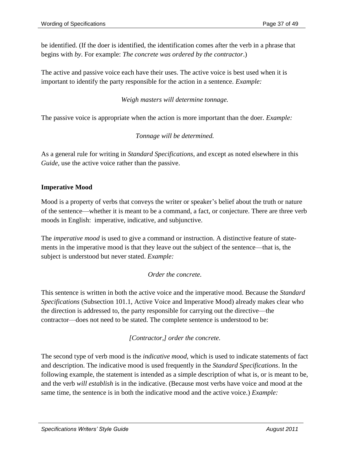be identified. (If the doer is identified, the identification comes after the verb in a phrase that begins with *by*. For example: *The concrete was ordered by the contractor*.)

The active and passive voice each have their uses. The active voice is best used when it is important to identify the party responsible for the action in a sentence. *Example:*

*Weigh masters will determine tonnage.*

The passive voice is appropriate when the action is more important than the doer. *Example:*

*Tonnage will be determined.*

As a general rule for writing in *Standard Specifications*, and except as noted elsewhere in this *Guide*, use the active voice rather than the passive.

#### **Imperative Mood**

Mood is a property of verbs that conveys the writer or speaker's belief about the truth or nature of the sentence—whether it is meant to be a command, a fact, or conjecture. There are three verb moods in English: imperative, indicative, and subjunctive.

The *imperative mood* is used to give a command or instruction. A distinctive feature of statements in the imperative mood is that they leave out the subject of the sentence—that is, the subject is understood but never stated. *Example:*

#### *Order the concrete.*

This sentence is written in both the active voice and the imperative mood. Because the *Standard Specifications* (Subsection 101.1, Active Voice and Imperative Mood) already makes clear who the direction is addressed to, the party responsible for carrying out the directive—the contractor—does not need to be stated. The complete sentence is understood to be:

*[Contractor,] order the concrete.*

The second type of verb mood is the *indicative mood*, which is used to indicate statements of fact and description. The indicative mood is used frequently in the *Standard Specifications*. In the following example, the statement is intended as a simple description of what is, or is meant to be, and the verb *will establish* is in the indicative. (Because most verbs have voice and mood at the same time, the sentence is in both the indicative mood and the active voice.) *Example:*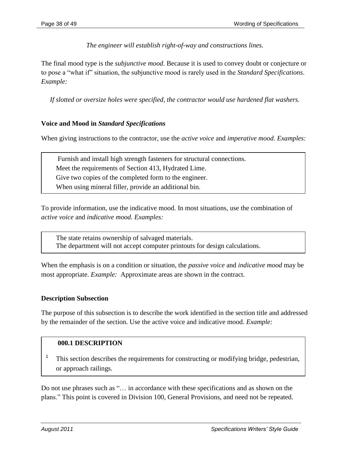*The engineer will establish right-of-way and constructions lines.*

The final mood type is the *subjunctive mood*. Because it is used to convey doubt or conjecture or to pose a "what if" situation, the subjunctive mood is rarely used in the *Standard Specifications*. *Example:*

*If slotted or oversize holes were specified, the contractor would use hardened flat washers.*

# **Voice and Mood in** *Standard Specifications*

When giving instructions to the contractor, use the *active voice* and *imperative mood*. *Examples:*

Furnish and install high strength fasteners for structural connections. Meet the requirements of Section 413, Hydrated Lime. Give two copies of the completed form to the engineer. When using mineral filler, provide an additional bin.

To provide information, use the indicative mood. In most situations, use the combination of *active voice* and *indicative mood. Examples:*

The state retains ownership of salvaged materials. The department will not accept computer printouts for design calculations.

When the emphasis is on a condition or situation, the *passive voice* and *indicative mood* may be most appropriate. *Example:* Approximate areas are shown in the contract.

#### **Description Subsection**

The purpose of this subsection is to describe the work identified in the section title and addressed by the remainder of the section. Use the active voice and indicative mood. *Example:*

#### **000.1 DESCRIPTION**

1 This section describes the requirements for constructing or modifying bridge, pedestrian, or approach railings.

Do not use phrases such as "... in accordance with these specifications and as shown on the plans." This point is covered in Division 100, General Provisions, and need not be repeated.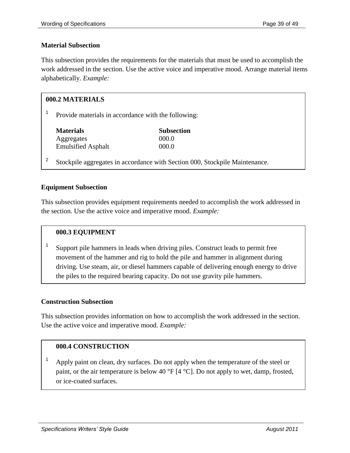#### **Material Subsection**

This subsection provides the requirements for the materials that must be used to accomplish the work addressed in the section. Use the active voice and imperative mood. Arrange material items alphabetically. *Example:*

| 000.2 MATERIALS |                                                                             |                   |
|-----------------|-----------------------------------------------------------------------------|-------------------|
|                 | Provide materials in accordance with the following:                         |                   |
|                 | <b>Materials</b>                                                            | <b>Subsection</b> |
|                 | Aggregates                                                                  | 000.0             |
|                 | <b>Emulsified Asphalt</b>                                                   | 000.0             |
|                 | Stockpile aggregates in accordance with Section 000, Stockpile Maintenance. |                   |

#### **Equipment Subsection**

This subsection provides equipment requirements needed to accomplish the work addressed in the section. Use the active voice and imperative mood. *Example:*

#### **000.3 EQUIPMENT**

1 Support pile hammers in leads when driving piles. Construct leads to permit free movement of the hammer and rig to hold the pile and hammer in alignment during driving. Use steam, air, or diesel hammers capable of delivering enough energy to drive the piles to the required bearing capacity. Do not use gravity pile hammers.

#### **Construction Subsection**

This subsection provides information on how to accomplish the work addressed in the section. Use the active voice and imperative mood. *Example:*

#### **000.4 CONSTRUCTION**

<sup>1</sup> Apply paint on clean, dry surfaces. Do not apply when the temperature of the steel or paint, or the air temperature is below 40 °F [4 °C]. Do not apply to wet, damp, frosted, or ice-coated surfaces.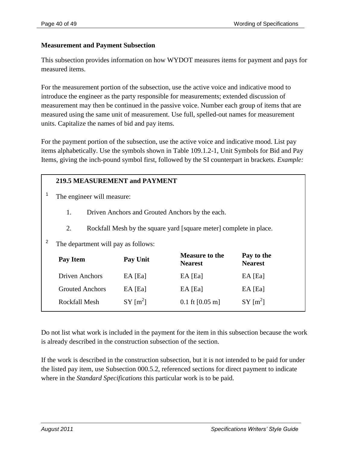#### **Measurement and Payment Subsection**

This subsection provides information on how WYDOT measures items for payment and pays for measured items.

For the measurement portion of the subsection, use the active voice and indicative mood to introduce the engineer as the party responsible for measurements; extended discussion of measurement may then be continued in the passive voice. Number each group of items that are measured using the same unit of measurement. Use full, spelled-out names for measurement units. Capitalize the names of bid and pay items.

For the payment portion of the subsection, use the active voice and indicative mood. List pay items alphabetically. Use the symbols shown in Table 109.1.2-1, Unit Symbols for Bid and Pay Items, giving the inch-pound symbol first, followed by the SI counterpart in brackets. *Example:*

#### **219.5 MEASUREMENT and PAYMENT**

1 The engineer will measure:

- 1. Driven Anchors and Grouted Anchors by the each.
- 2. Rockfall Mesh by the square yard [square meter] complete in place.

2 The department will pay as follows:

| Pay Item               | Pay Unit               | <b>Measure to the</b><br><b>Nearest</b> | Pay to the<br><b>Nearest</b> |
|------------------------|------------------------|-----------------------------------------|------------------------------|
| Driven Anchors         | EA [Ea]                | EA [Ea]                                 | EA [Ea]                      |
| <b>Grouted Anchors</b> | EA [Ea]                | EA [Ea]                                 | EA [Ea]                      |
| Rockfall Mesh          | $SY$ [m <sup>2</sup> ] | $0.1 \text{ ft}$ [0.05 m]               | $SY$ [m <sup>2</sup> ]       |
|                        |                        |                                         |                              |

Do not list what work is included in the payment for the item in this subsection because the work is already described in the construction subsection of the section.

If the work is described in the construction subsection, but it is not intended to be paid for under the listed pay item, use Subsection 000.5.2, referenced sections for direct payment to indicate where in the *Standard Specifications* this particular work is to be paid.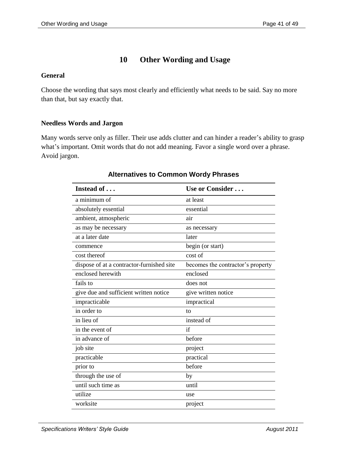# **10 Other Wording and Usage**

#### **General**

Choose the wording that says most clearly and efficiently what needs to be said. Say no more than that, but say exactly that.

#### **Needless Words and Jargon**

Many words serve only as filler. Their use adds clutter and can hinder a reader's ability to grasp what's important. Omit words that do not add meaning. Favor a single word over a phrase. Avoid jargon.

| Instead of                                | Use or Consider                   |
|-------------------------------------------|-----------------------------------|
| a minimum of                              | at least                          |
| absolutely essential                      | essential                         |
| ambient, atmospheric                      | air                               |
| as may be necessary                       | as necessary                      |
| at a later date                           | later                             |
| commence                                  | begin (or start)                  |
| cost thereof                              | cost of                           |
| dispose of at a contractor-furnished site | becomes the contractor's property |
| enclosed herewith                         | enclosed                          |
| fails to                                  | does not                          |
| give due and sufficient written notice    | give written notice               |
| impracticable                             | impractical                       |
| in order to                               | to                                |
| in lieu of                                | instead of                        |
| in the event of                           | if                                |
| in advance of                             | before                            |
| job site                                  | project                           |
| practicable                               | practical                         |
| prior to                                  | before                            |
| through the use of                        | by                                |
| until such time as                        | until                             |
| utilize                                   | use                               |
| worksite                                  | project                           |

#### **Alternatives to Common Wordy Phrases**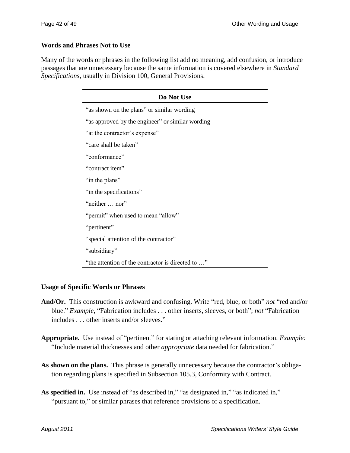#### **Words and Phrases Not to Use**

Many of the words or phrases in the following list add no meaning, add confusion, or introduce passages that are unnecessary because the same information is covered elsewhere in *Standard Specifications*, usually in Division 100, General Provisions.

| Do Not Use                                        |  |  |  |
|---------------------------------------------------|--|--|--|
| "as shown on the plans" or similar wording        |  |  |  |
| "as approved by the engineer" or similar wording  |  |  |  |
| "at the contractor's expense"                     |  |  |  |
| "care shall be taken"                             |  |  |  |
| "conformance"                                     |  |  |  |
| "contract item"                                   |  |  |  |
| "in the plans"                                    |  |  |  |
| "in the specifications"                           |  |  |  |
| "neither  nor"                                    |  |  |  |
| "permit" when used to mean "allow"                |  |  |  |
| "pertinent"                                       |  |  |  |
| "special attention of the contractor"             |  |  |  |
| "subsidiary"                                      |  |  |  |
| "the attention of the contractor is directed to " |  |  |  |

#### **Usage of Specific Words or Phrases**

- And/Or. This construction is awkward and confusing. Write "red, blue, or both" *not* "red and/or blue." *Example*, "Fabrication includes . . . other inserts, sleeves, or both"; *not* "Fabrication includes . . . other inserts and/or sleeves."
- Appropriate. Use instead of "pertinent" for stating or attaching relevant information. *Example*: ―Include material thicknesses and other *appropriate* data needed for fabrication.‖
- As shown on the plans. This phrase is generally unnecessary because the contractor's obligation regarding plans is specified in Subsection 105.3, Conformity with Contract.
- As specified in. Use instead of "as described in," "as designated in," "as indicated in," "pursuant to," or similar phrases that reference provisions of a specification.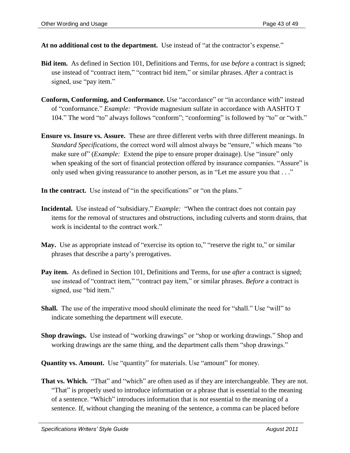**At no additional cost to the department.** Use instead of "at the contractor's expense."

- **Bid item.** As defined in Section 101, Definitions and Terms, for use *before* a contract is signed; use instead of "contract item," "contract bid item," or similar phrases. After a contract is signed, use "pay item."
- **Conform, Conforming, and Conformance.** Use "accordance" or "in accordance with" instead of "conformance." *Example*: "Provide magnesium sulfate in accordance with AASHTO T 104." The word "to" always follows "conform"; "conforming" is followed by "to" or "with."
- **Ensure vs. Insure vs. Assure.** These are three different verbs with three different meanings. In *Standard Specifications*, the correct word will almost always be "ensure," which means "to make sure of" (*Example:* Extend the pipe to ensure proper drainage). Use "insure" only when speaking of the sort of financial protection offered by insurance companies. "Assure" is only used when giving reassurance to another person, as in "Let me assure you that . . ."
- **In the contract.** Use instead of "in the specifications" or "on the plans."
- **Incidental.** Use instead of "subsidiary." *Example:* "When the contract does not contain pay items for the removal of structures and obstructions, including culverts and storm drains, that work is incidental to the contract work."
- May. Use as appropriate instead of "exercise its option to," "reserve the right to," or similar phrases that describe a party's prerogatives.
- **Pay item.** As defined in Section 101, Definitions and Terms, for use *after* a contract is signed; use instead of "contract item," "contract pay item," or similar phrases. *Before* a contract is signed, use "bid item."
- **Shall.** The use of the imperative mood should eliminate the need for "shall." Use "will" to indicate something the department will execute.
- **Shop drawings.** Use instead of "working drawings" or "shop or working drawings." Shop and working drawings are the same thing, and the department calls them "shop drawings."
- **Quantity vs. Amount.** Use "quantity" for materials. Use "amount" for money.
- **That vs. Which.** "That" and "which" are often used as if they are interchangeable. They are not. "That" is properly used to introduce information or a phrase that is essential to the meaning of a sentence. "Which" introduces information that is *not* essential to the meaning of a sentence. If, without changing the meaning of the sentence, a comma can be placed before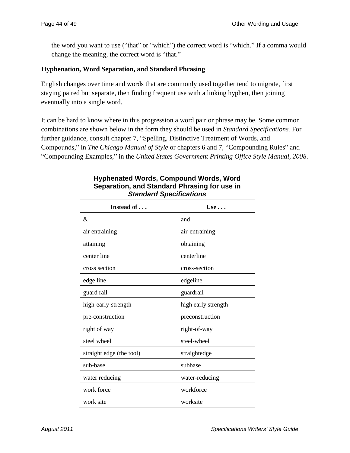the word you want to use ("that" or "which") the correct word is "which." If a comma would change the meaning, the correct word is "that."

# **Hyphenation, Word Separation, and Standard Phrasing**

English changes over time and words that are commonly used together tend to migrate, first staying paired but separate, then finding frequent use with a linking hyphen, then joining eventually into a single word.

It can be hard to know where in this progression a word pair or phrase may be. Some common combinations are shown below in the form they should be used in *Standard Specifications.* For further guidance, consult chapter 7, "Spelling, Distinctive Treatment of Words, and Compounds," in *The Chicago Manual of Style* or chapters 6 and 7, "Compounding Rules" and ―Compounding Examples,‖ in the *United States Government Printing Office Style Manual, 2008*.

| Instead of               | Use $\ldots$        |
|--------------------------|---------------------|
| &                        | and                 |
| air entraining           | air-entraining      |
| attaining                | obtaining           |
| center line              | centerline          |
| cross section            | cross-section       |
| edge line                | edgeline            |
| guard rail               | guardrail           |
| high-early-strength      | high early strength |
| pre-construction         | preconstruction     |
| right of way             | right-of-way        |
| steel wheel              | steel-wheel         |
| straight edge (the tool) | straightedge        |
| sub-base                 | subbase             |
| water reducing           | water-reducing      |
| work force               | workforce           |
| work site                | worksite            |

#### **Hyphenated Words, Compound Words, Word Separation, and Standard Phrasing for use in** *Standard Specifications*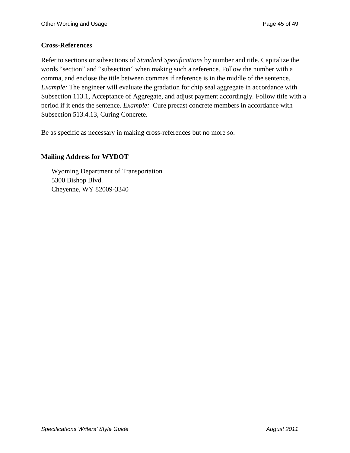#### **Cross-References**

Refer to sections or subsections of *Standard Specifications* by number and title. Capitalize the words "section" and "subsection" when making such a reference. Follow the number with a comma, and enclose the title between commas if reference is in the middle of the sentence. *Example:* The engineer will evaluate the gradation for chip seal aggregate in accordance with Subsection 113.1, Acceptance of Aggregate, and adjust payment accordingly. Follow title with a period if it ends the sentence. *Example:* Cure precast concrete members in accordance with Subsection 513.4.13, Curing Concrete.

Be as specific as necessary in making cross-references but no more so.

#### **Mailing Address for WYDOT**

Wyoming Department of Transportation 5300 Bishop Blvd. Cheyenne, WY 82009-3340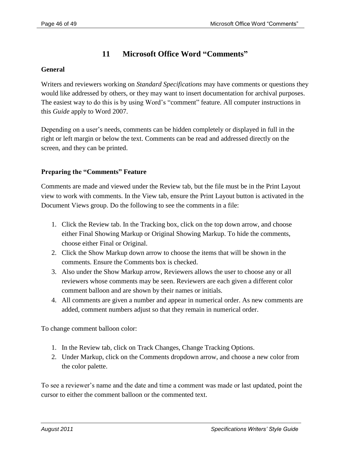# **11 Microsoft Office Word "Comments"**

#### **General**

Writers and reviewers working on *Standard Specifications* may have comments or questions they would like addressed by others, or they may want to insert documentation for archival purposes. The easiest way to do this is by using Word's "comment" feature. All computer instructions in this *Guide* apply to Word 2007.

Depending on a user's needs, comments can be hidden completely or displayed in full in the right or left margin or below the text. Comments can be read and addressed directly on the screen, and they can be printed.

#### **Preparing the "Comments" Feature**

Comments are made and viewed under the Review tab, but the file must be in the Print Layout view to work with comments. In the View tab, ensure the Print Layout button is activated in the Document Views group. Do the following to see the comments in a file:

- 1. Click the Review tab. In the Tracking box, click on the top down arrow, and choose either Final Showing Markup or Original Showing Markup. To hide the comments, choose either Final or Original.
- 2. Click the Show Markup down arrow to choose the items that will be shown in the comments. Ensure the Comments box is checked.
- 3. Also under the Show Markup arrow, Reviewers allows the user to choose any or all reviewers whose comments may be seen. Reviewers are each given a different color comment balloon and are shown by their names or initials.
- 4. All comments are given a number and appear in numerical order. As new comments are added, comment numbers adjust so that they remain in numerical order.

To change comment balloon color:

- 1. In the Review tab, click on Track Changes, Change Tracking Options.
- 2. Under Markup, click on the Comments dropdown arrow, and choose a new color from the color palette.

To see a reviewer's name and the date and time a comment was made or last updated, point the cursor to either the comment balloon or the commented text.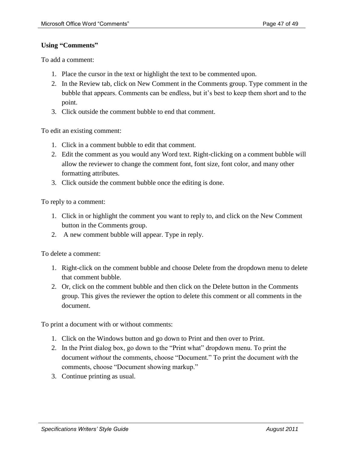#### **Using "Comments"**

To add a comment:

- 1. Place the cursor in the text or highlight the text to be commented upon.
- 2. In the Review tab, click on New Comment in the Comments group. Type comment in the bubble that appears. Comments can be endless, but it's best to keep them short and to the point.
- 3. Click outside the comment bubble to end that comment.

To edit an existing comment:

- 1. Click in a comment bubble to edit that comment.
- 2. Edit the comment as you would any Word text. Right-clicking on a comment bubble will allow the reviewer to change the comment font, font size, font color, and many other formatting attributes.
- 3. Click outside the comment bubble once the editing is done.

To reply to a comment:

- 1. Click in or highlight the comment you want to reply to, and click on the New Comment button in the Comments group.
- 2. A new comment bubble will appear. Type in reply.

To delete a comment:

- 1. Right-click on the comment bubble and choose Delete from the dropdown menu to delete that comment bubble.
- 2. Or, click on the comment bubble and then click on the Delete button in the Comments group. This gives the reviewer the option to delete this comment or all comments in the document.

To print a document with or without comments:

- 1. Click on the Windows button and go down to Print and then over to Print.
- 2. In the Print dialog box, go down to the "Print what" dropdown menu. To print the document *without* the comments, choose "Document." To print the document *with* the comments, choose "Document showing markup."
- 3. Continue printing as usual.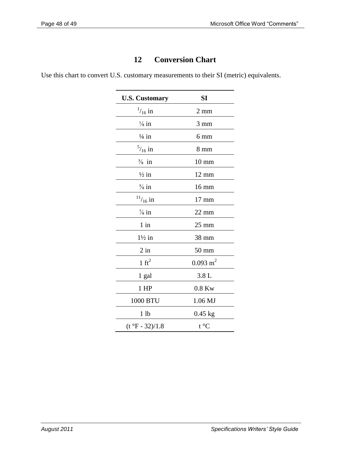# **12 Conversion Chart**

Use this chart to convert U.S. customary measurements to their SI (metric) equivalents.

| <b>U.S. Customary</b> | SI                  |
|-----------------------|---------------------|
| $^{1}/_{16}$ in       | $2 \text{ mm}$      |
| $\frac{1}{8}$ in      | $3 \text{ mm}$      |
| $\frac{1}{4}$ in      | $6 \text{ mm}$      |
| $^{5}/_{16}$ in       | $8 \text{ mm}$      |
| $\frac{3}{8}$ in      | $10 \text{ mm}$     |
| $\frac{1}{2}$ in      | $12 \text{ mm}$     |
| $\frac{5}{8}$ in      | 16 mm               |
| $^{11}/_{16}$ in      | $17 \text{ mm}$     |
| $\frac{7}{8}$ in      | $22 \text{ mm}$     |
| $1$ in                | $25 \text{ mm}$     |
| $1\frac{1}{2}$ in     | 38 mm               |
| $2$ in                | $50 \text{ mm}$     |
| $1 \text{ ft}^2$      | $0.093 \text{ m}^2$ |
| 1 gal                 | 3.8L                |
| $1$ HP                | $0.8$ Kw            |
| 1000 BTU              | 1.06 MJ             |
| 1 <sub>lb</sub>       | $0.45$ kg           |
| $(t °F - 32)/1.8$     | $t^{\circ}C$        |